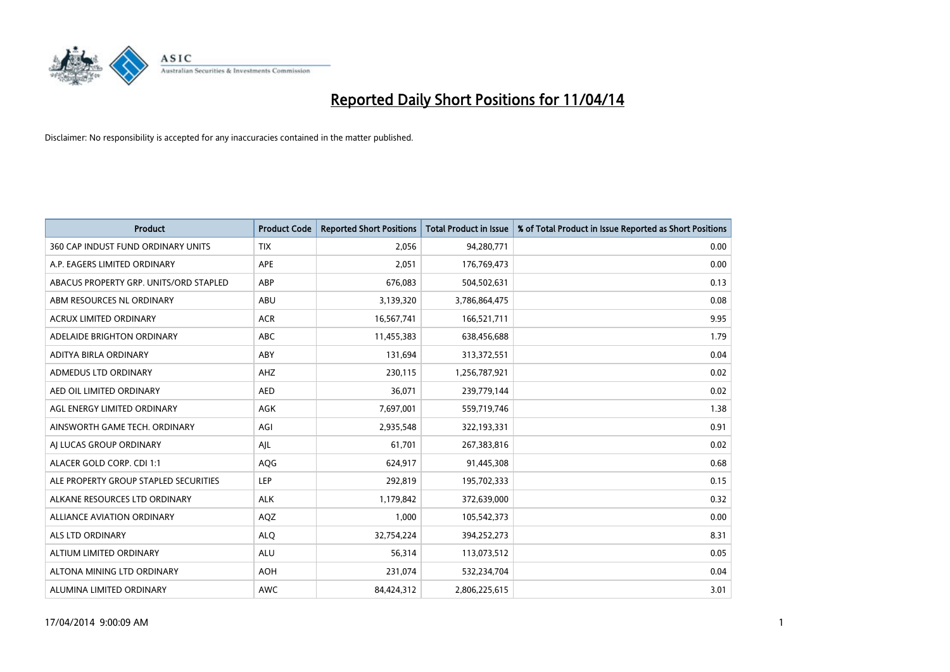

| <b>Product</b>                         | <b>Product Code</b> | <b>Reported Short Positions</b> | <b>Total Product in Issue</b> | % of Total Product in Issue Reported as Short Positions |
|----------------------------------------|---------------------|---------------------------------|-------------------------------|---------------------------------------------------------|
| 360 CAP INDUST FUND ORDINARY UNITS     | <b>TIX</b>          | 2,056                           | 94,280,771                    | 0.00                                                    |
| A.P. EAGERS LIMITED ORDINARY           | APE                 | 2,051                           | 176,769,473                   | 0.00                                                    |
| ABACUS PROPERTY GRP. UNITS/ORD STAPLED | ABP                 | 676,083                         | 504,502,631                   | 0.13                                                    |
| ABM RESOURCES NL ORDINARY              | ABU                 | 3,139,320                       | 3,786,864,475                 | 0.08                                                    |
| <b>ACRUX LIMITED ORDINARY</b>          | <b>ACR</b>          | 16,567,741                      | 166,521,711                   | 9.95                                                    |
| ADELAIDE BRIGHTON ORDINARY             | <b>ABC</b>          | 11,455,383                      | 638,456,688                   | 1.79                                                    |
| ADITYA BIRLA ORDINARY                  | ABY                 | 131,694                         | 313,372,551                   | 0.04                                                    |
| ADMEDUS LTD ORDINARY                   | AHZ                 | 230,115                         | 1,256,787,921                 | 0.02                                                    |
| AED OIL LIMITED ORDINARY               | <b>AED</b>          | 36.071                          | 239,779,144                   | 0.02                                                    |
| AGL ENERGY LIMITED ORDINARY            | AGK                 | 7,697,001                       | 559,719,746                   | 1.38                                                    |
| AINSWORTH GAME TECH. ORDINARY          | AGI                 | 2,935,548                       | 322,193,331                   | 0.91                                                    |
| AI LUCAS GROUP ORDINARY                | AJL                 | 61,701                          | 267,383,816                   | 0.02                                                    |
| ALACER GOLD CORP. CDI 1:1              | AQG                 | 624,917                         | 91,445,308                    | 0.68                                                    |
| ALE PROPERTY GROUP STAPLED SECURITIES  | LEP                 | 292,819                         | 195,702,333                   | 0.15                                                    |
| ALKANE RESOURCES LTD ORDINARY          | <b>ALK</b>          | 1,179,842                       | 372,639,000                   | 0.32                                                    |
| <b>ALLIANCE AVIATION ORDINARY</b>      | AQZ                 | 1,000                           | 105,542,373                   | 0.00                                                    |
| ALS LTD ORDINARY                       | <b>ALQ</b>          | 32,754,224                      | 394,252,273                   | 8.31                                                    |
| ALTIUM LIMITED ORDINARY                | <b>ALU</b>          | 56,314                          | 113,073,512                   | 0.05                                                    |
| ALTONA MINING LTD ORDINARY             | <b>AOH</b>          | 231,074                         | 532,234,704                   | 0.04                                                    |
| ALUMINA LIMITED ORDINARY               | <b>AWC</b>          | 84,424,312                      | 2,806,225,615                 | 3.01                                                    |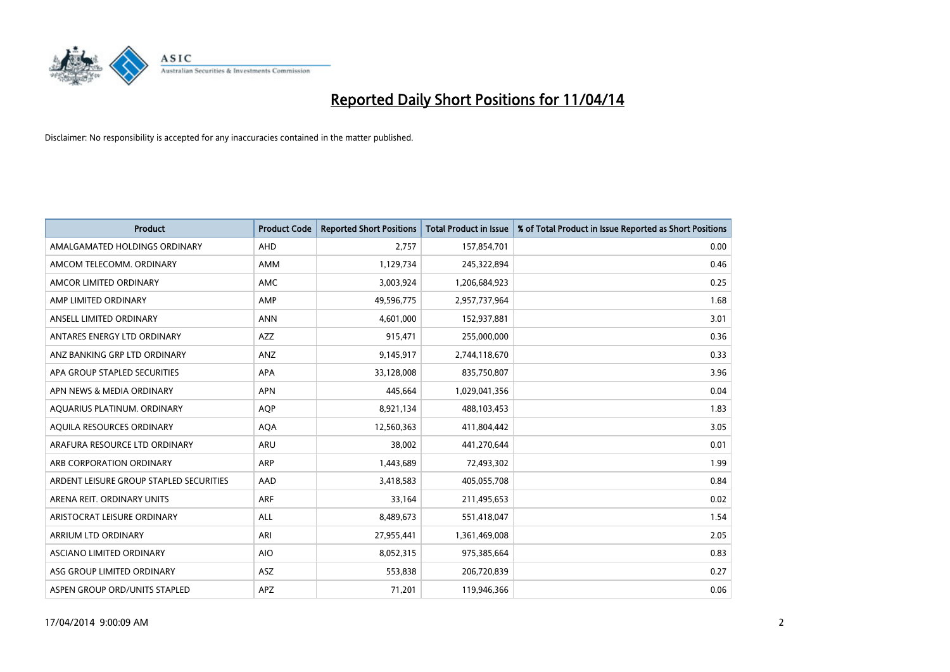

| <b>Product</b>                          | <b>Product Code</b> | <b>Reported Short Positions</b> | <b>Total Product in Issue</b> | % of Total Product in Issue Reported as Short Positions |
|-----------------------------------------|---------------------|---------------------------------|-------------------------------|---------------------------------------------------------|
| AMALGAMATED HOLDINGS ORDINARY           | AHD                 | 2,757                           | 157,854,701                   | 0.00                                                    |
| AMCOM TELECOMM. ORDINARY                | AMM                 | 1,129,734                       | 245,322,894                   | 0.46                                                    |
| AMCOR LIMITED ORDINARY                  | AMC                 | 3,003,924                       | 1,206,684,923                 | 0.25                                                    |
| AMP LIMITED ORDINARY                    | AMP                 | 49,596,775                      | 2,957,737,964                 | 1.68                                                    |
| ANSELL LIMITED ORDINARY                 | <b>ANN</b>          | 4,601,000                       | 152,937,881                   | 3.01                                                    |
| ANTARES ENERGY LTD ORDINARY             | AZZ                 | 915,471                         | 255,000,000                   | 0.36                                                    |
| ANZ BANKING GRP LTD ORDINARY            | ANZ                 | 9,145,917                       | 2,744,118,670                 | 0.33                                                    |
| APA GROUP STAPLED SECURITIES            | APA                 | 33,128,008                      | 835,750,807                   | 3.96                                                    |
| APN NEWS & MEDIA ORDINARY               | <b>APN</b>          | 445,664                         | 1,029,041,356                 | 0.04                                                    |
| AQUARIUS PLATINUM. ORDINARY             | <b>AQP</b>          | 8,921,134                       | 488,103,453                   | 1.83                                                    |
| AQUILA RESOURCES ORDINARY               | <b>AQA</b>          | 12,560,363                      | 411,804,442                   | 3.05                                                    |
| ARAFURA RESOURCE LTD ORDINARY           | ARU                 | 38,002                          | 441,270,644                   | 0.01                                                    |
| ARB CORPORATION ORDINARY                | <b>ARP</b>          | 1,443,689                       | 72,493,302                    | 1.99                                                    |
| ARDENT LEISURE GROUP STAPLED SECURITIES | AAD                 | 3,418,583                       | 405,055,708                   | 0.84                                                    |
| ARENA REIT. ORDINARY UNITS              | <b>ARF</b>          | 33,164                          | 211,495,653                   | 0.02                                                    |
| ARISTOCRAT LEISURE ORDINARY             | ALL                 | 8,489,673                       | 551,418,047                   | 1.54                                                    |
| ARRIUM LTD ORDINARY                     | ARI                 | 27,955,441                      | 1,361,469,008                 | 2.05                                                    |
| ASCIANO LIMITED ORDINARY                | <b>AIO</b>          | 8,052,315                       | 975,385,664                   | 0.83                                                    |
| ASG GROUP LIMITED ORDINARY              | ASZ                 | 553,838                         | 206,720,839                   | 0.27                                                    |
| ASPEN GROUP ORD/UNITS STAPLED           | <b>APZ</b>          | 71,201                          | 119,946,366                   | 0.06                                                    |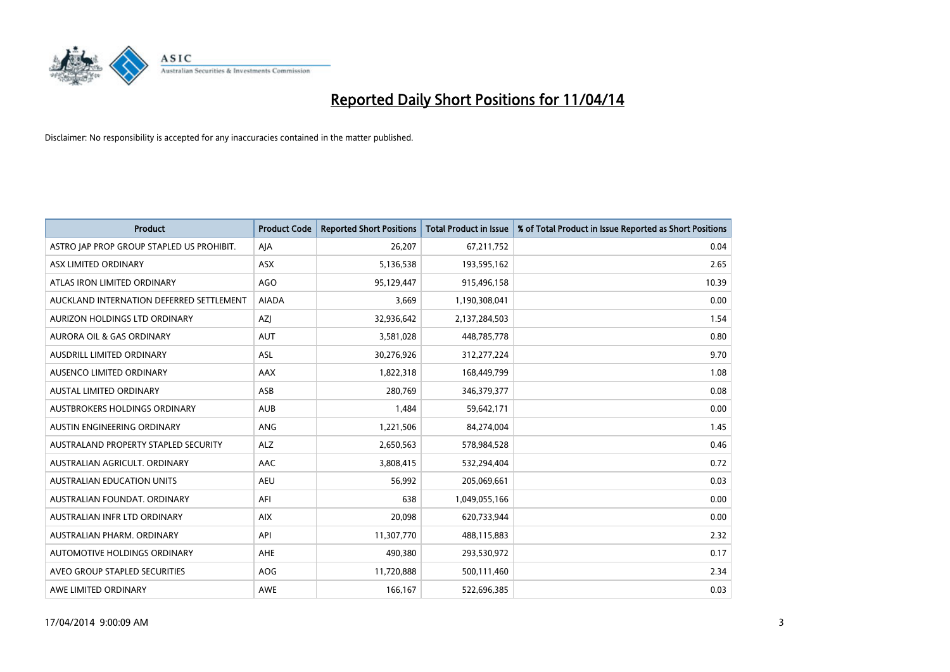

| <b>Product</b>                            | <b>Product Code</b> | <b>Reported Short Positions</b> | <b>Total Product in Issue</b> | % of Total Product in Issue Reported as Short Positions |
|-------------------------------------------|---------------------|---------------------------------|-------------------------------|---------------------------------------------------------|
| ASTRO JAP PROP GROUP STAPLED US PROHIBIT. | AJA                 | 26,207                          | 67,211,752                    | 0.04                                                    |
| ASX LIMITED ORDINARY                      | ASX                 | 5,136,538                       | 193,595,162                   | 2.65                                                    |
| ATLAS IRON LIMITED ORDINARY               | AGO                 | 95,129,447                      | 915,496,158                   | 10.39                                                   |
| AUCKLAND INTERNATION DEFERRED SETTLEMENT  | <b>AIADA</b>        | 3,669                           | 1,190,308,041                 | 0.00                                                    |
| AURIZON HOLDINGS LTD ORDINARY             | <b>AZI</b>          | 32,936,642                      | 2,137,284,503                 | 1.54                                                    |
| <b>AURORA OIL &amp; GAS ORDINARY</b>      | <b>AUT</b>          | 3,581,028                       | 448,785,778                   | 0.80                                                    |
| AUSDRILL LIMITED ORDINARY                 | ASL                 | 30,276,926                      | 312,277,224                   | 9.70                                                    |
| AUSENCO LIMITED ORDINARY                  | AAX                 | 1,822,318                       | 168,449,799                   | 1.08                                                    |
| <b>AUSTAL LIMITED ORDINARY</b>            | ASB                 | 280,769                         | 346,379,377                   | 0.08                                                    |
| AUSTBROKERS HOLDINGS ORDINARY             | <b>AUB</b>          | 1,484                           | 59,642,171                    | 0.00                                                    |
| AUSTIN ENGINEERING ORDINARY               | ANG                 | 1,221,506                       | 84,274,004                    | 1.45                                                    |
| AUSTRALAND PROPERTY STAPLED SECURITY      | <b>ALZ</b>          | 2,650,563                       | 578,984,528                   | 0.46                                                    |
| AUSTRALIAN AGRICULT. ORDINARY             | AAC                 | 3,808,415                       | 532,294,404                   | 0.72                                                    |
| AUSTRALIAN EDUCATION UNITS                | <b>AEU</b>          | 56,992                          | 205,069,661                   | 0.03                                                    |
| AUSTRALIAN FOUNDAT, ORDINARY              | AFI                 | 638                             | 1,049,055,166                 | 0.00                                                    |
| AUSTRALIAN INFR LTD ORDINARY              | <b>AIX</b>          | 20,098                          | 620,733,944                   | 0.00                                                    |
| AUSTRALIAN PHARM. ORDINARY                | API                 | 11,307,770                      | 488,115,883                   | 2.32                                                    |
| AUTOMOTIVE HOLDINGS ORDINARY              | AHE                 | 490,380                         | 293,530,972                   | 0.17                                                    |
| AVEO GROUP STAPLED SECURITIES             | <b>AOG</b>          | 11,720,888                      | 500,111,460                   | 2.34                                                    |
| AWE LIMITED ORDINARY                      | AWE                 | 166,167                         | 522,696,385                   | 0.03                                                    |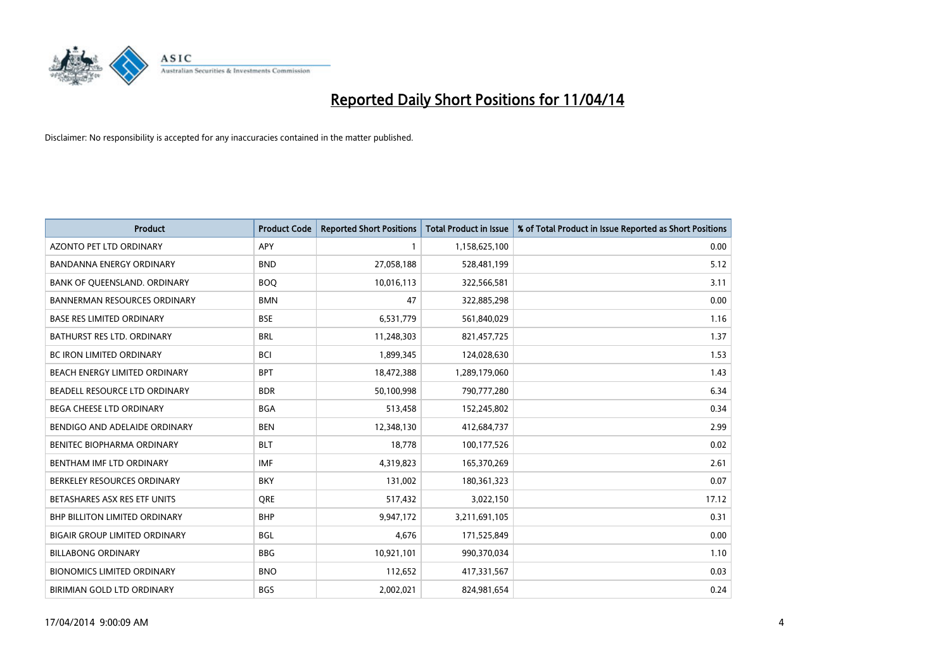

| <b>Product</b>                       | <b>Product Code</b> | <b>Reported Short Positions</b> | Total Product in Issue | % of Total Product in Issue Reported as Short Positions |
|--------------------------------------|---------------------|---------------------------------|------------------------|---------------------------------------------------------|
| <b>AZONTO PET LTD ORDINARY</b>       | <b>APY</b>          | $\mathbf{1}$                    | 1,158,625,100          | 0.00                                                    |
| <b>BANDANNA ENERGY ORDINARY</b>      | <b>BND</b>          | 27,058,188                      | 528,481,199            | 5.12                                                    |
| BANK OF QUEENSLAND. ORDINARY         | <b>BOQ</b>          | 10,016,113                      | 322,566,581            | 3.11                                                    |
| <b>BANNERMAN RESOURCES ORDINARY</b>  | <b>BMN</b>          | 47                              | 322,885,298            | 0.00                                                    |
| BASE RES LIMITED ORDINARY            | <b>BSE</b>          | 6,531,779                       | 561,840,029            | 1.16                                                    |
| BATHURST RES LTD. ORDINARY           | <b>BRL</b>          | 11,248,303                      | 821,457,725            | 1.37                                                    |
| BC IRON LIMITED ORDINARY             | <b>BCI</b>          | 1,899,345                       | 124,028,630            | 1.53                                                    |
| BEACH ENERGY LIMITED ORDINARY        | <b>BPT</b>          | 18,472,388                      | 1,289,179,060          | 1.43                                                    |
| BEADELL RESOURCE LTD ORDINARY        | <b>BDR</b>          | 50,100,998                      | 790,777,280            | 6.34                                                    |
| <b>BEGA CHEESE LTD ORDINARY</b>      | <b>BGA</b>          | 513,458                         | 152,245,802            | 0.34                                                    |
| BENDIGO AND ADELAIDE ORDINARY        | <b>BEN</b>          | 12,348,130                      | 412,684,737            | 2.99                                                    |
| BENITEC BIOPHARMA ORDINARY           | <b>BLT</b>          | 18,778                          | 100,177,526            | 0.02                                                    |
| BENTHAM IMF LTD ORDINARY             | <b>IMF</b>          | 4,319,823                       | 165,370,269            | 2.61                                                    |
| BERKELEY RESOURCES ORDINARY          | <b>BKY</b>          | 131,002                         | 180,361,323            | 0.07                                                    |
| BETASHARES ASX RES ETF UNITS         | <b>ORE</b>          | 517,432                         | 3,022,150              | 17.12                                                   |
| <b>BHP BILLITON LIMITED ORDINARY</b> | <b>BHP</b>          | 9,947,172                       | 3,211,691,105          | 0.31                                                    |
| <b>BIGAIR GROUP LIMITED ORDINARY</b> | <b>BGL</b>          | 4,676                           | 171,525,849            | 0.00                                                    |
| <b>BILLABONG ORDINARY</b>            | <b>BBG</b>          | 10,921,101                      | 990,370,034            | 1.10                                                    |
| <b>BIONOMICS LIMITED ORDINARY</b>    | <b>BNO</b>          | 112,652                         | 417,331,567            | 0.03                                                    |
| BIRIMIAN GOLD LTD ORDINARY           | <b>BGS</b>          | 2,002,021                       | 824,981,654            | 0.24                                                    |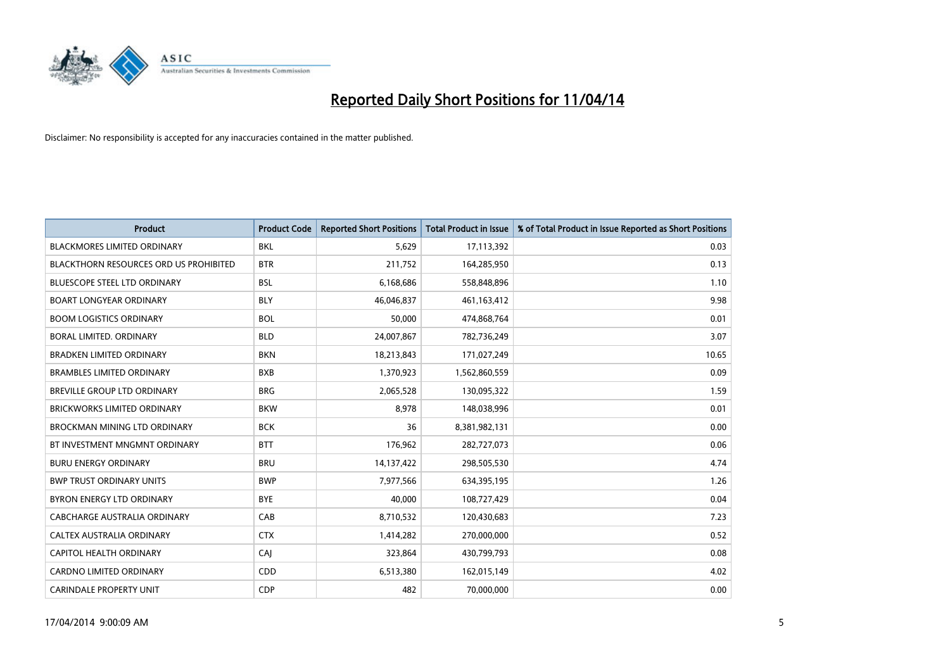

| <b>Product</b>                                | <b>Product Code</b> | <b>Reported Short Positions</b> | <b>Total Product in Issue</b> | % of Total Product in Issue Reported as Short Positions |
|-----------------------------------------------|---------------------|---------------------------------|-------------------------------|---------------------------------------------------------|
| <b>BLACKMORES LIMITED ORDINARY</b>            | <b>BKL</b>          | 5,629                           | 17,113,392                    | 0.03                                                    |
| <b>BLACKTHORN RESOURCES ORD US PROHIBITED</b> | <b>BTR</b>          | 211,752                         | 164,285,950                   | 0.13                                                    |
| BLUESCOPE STEEL LTD ORDINARY                  | <b>BSL</b>          | 6,168,686                       | 558,848,896                   | 1.10                                                    |
| <b>BOART LONGYEAR ORDINARY</b>                | <b>BLY</b>          | 46,046,837                      | 461,163,412                   | 9.98                                                    |
| <b>BOOM LOGISTICS ORDINARY</b>                | <b>BOL</b>          | 50,000                          | 474,868,764                   | 0.01                                                    |
| <b>BORAL LIMITED, ORDINARY</b>                | <b>BLD</b>          | 24,007,867                      | 782,736,249                   | 3.07                                                    |
| <b>BRADKEN LIMITED ORDINARY</b>               | <b>BKN</b>          | 18,213,843                      | 171,027,249                   | 10.65                                                   |
| <b>BRAMBLES LIMITED ORDINARY</b>              | <b>BXB</b>          | 1,370,923                       | 1,562,860,559                 | 0.09                                                    |
| <b>BREVILLE GROUP LTD ORDINARY</b>            | <b>BRG</b>          | 2,065,528                       | 130,095,322                   | 1.59                                                    |
| <b>BRICKWORKS LIMITED ORDINARY</b>            | <b>BKW</b>          | 8,978                           | 148,038,996                   | 0.01                                                    |
| <b>BROCKMAN MINING LTD ORDINARY</b>           | <b>BCK</b>          | 36                              | 8,381,982,131                 | 0.00                                                    |
| BT INVESTMENT MNGMNT ORDINARY                 | <b>BTT</b>          | 176,962                         | 282,727,073                   | 0.06                                                    |
| <b>BURU ENERGY ORDINARY</b>                   | <b>BRU</b>          | 14, 137, 422                    | 298,505,530                   | 4.74                                                    |
| <b>BWP TRUST ORDINARY UNITS</b>               | <b>BWP</b>          | 7,977,566                       | 634,395,195                   | 1.26                                                    |
| BYRON ENERGY LTD ORDINARY                     | <b>BYE</b>          | 40,000                          | 108,727,429                   | 0.04                                                    |
| CABCHARGE AUSTRALIA ORDINARY                  | CAB                 | 8,710,532                       | 120,430,683                   | 7.23                                                    |
| CALTEX AUSTRALIA ORDINARY                     | <b>CTX</b>          | 1,414,282                       | 270,000,000                   | 0.52                                                    |
| CAPITOL HEALTH ORDINARY                       | CAJ                 | 323,864                         | 430,799,793                   | 0.08                                                    |
| <b>CARDNO LIMITED ORDINARY</b>                | CDD                 | 6,513,380                       | 162,015,149                   | 4.02                                                    |
| <b>CARINDALE PROPERTY UNIT</b>                | <b>CDP</b>          | 482                             | 70,000,000                    | 0.00                                                    |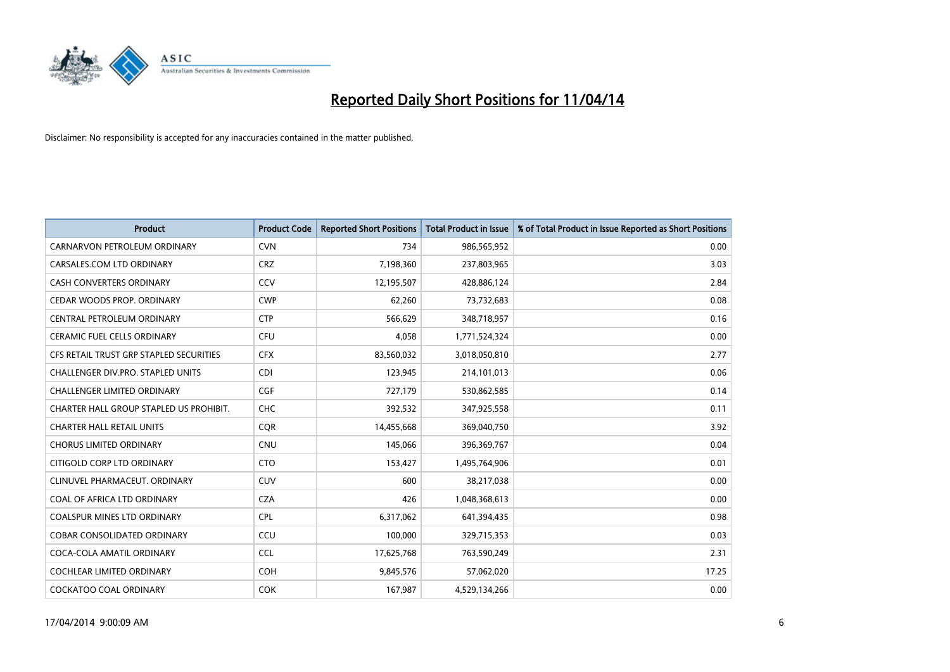

| <b>Product</b>                          | <b>Product Code</b> | <b>Reported Short Positions</b> | <b>Total Product in Issue</b> | % of Total Product in Issue Reported as Short Positions |
|-----------------------------------------|---------------------|---------------------------------|-------------------------------|---------------------------------------------------------|
| CARNARVON PETROLEUM ORDINARY            | <b>CVN</b>          | 734                             | 986,565,952                   | 0.00                                                    |
| CARSALES.COM LTD ORDINARY               | <b>CRZ</b>          | 7,198,360                       | 237,803,965                   | 3.03                                                    |
| CASH CONVERTERS ORDINARY                | CCV                 | 12,195,507                      | 428,886,124                   | 2.84                                                    |
| CEDAR WOODS PROP. ORDINARY              | <b>CWP</b>          | 62,260                          | 73,732,683                    | 0.08                                                    |
| CENTRAL PETROLEUM ORDINARY              | <b>CTP</b>          | 566,629                         | 348,718,957                   | 0.16                                                    |
| <b>CERAMIC FUEL CELLS ORDINARY</b>      | <b>CFU</b>          | 4,058                           | 1,771,524,324                 | 0.00                                                    |
| CFS RETAIL TRUST GRP STAPLED SECURITIES | <b>CFX</b>          | 83,560,032                      | 3,018,050,810                 | 2.77                                                    |
| CHALLENGER DIV.PRO. STAPLED UNITS       | <b>CDI</b>          | 123,945                         | 214,101,013                   | 0.06                                                    |
| <b>CHALLENGER LIMITED ORDINARY</b>      | <b>CGF</b>          | 727.179                         | 530,862,585                   | 0.14                                                    |
| CHARTER HALL GROUP STAPLED US PROHIBIT. | <b>CHC</b>          | 392,532                         | 347,925,558                   | 0.11                                                    |
| <b>CHARTER HALL RETAIL UNITS</b>        | <b>COR</b>          | 14,455,668                      | 369,040,750                   | 3.92                                                    |
| <b>CHORUS LIMITED ORDINARY</b>          | <b>CNU</b>          | 145,066                         | 396,369,767                   | 0.04                                                    |
| CITIGOLD CORP LTD ORDINARY              | <b>CTO</b>          | 153,427                         | 1,495,764,906                 | 0.01                                                    |
| CLINUVEL PHARMACEUT, ORDINARY           | <b>CUV</b>          | 600                             | 38,217,038                    | 0.00                                                    |
| COAL OF AFRICA LTD ORDINARY             | <b>CZA</b>          | 426                             | 1,048,368,613                 | 0.00                                                    |
| <b>COALSPUR MINES LTD ORDINARY</b>      | <b>CPL</b>          | 6,317,062                       | 641,394,435                   | 0.98                                                    |
| <b>COBAR CONSOLIDATED ORDINARY</b>      | CCU                 | 100,000                         | 329,715,353                   | 0.03                                                    |
| COCA-COLA AMATIL ORDINARY               | <b>CCL</b>          | 17,625,768                      | 763,590,249                   | 2.31                                                    |
| <b>COCHLEAR LIMITED ORDINARY</b>        | <b>COH</b>          | 9,845,576                       | 57,062,020                    | 17.25                                                   |
| <b>COCKATOO COAL ORDINARY</b>           | <b>COK</b>          | 167,987                         | 4,529,134,266                 | 0.00                                                    |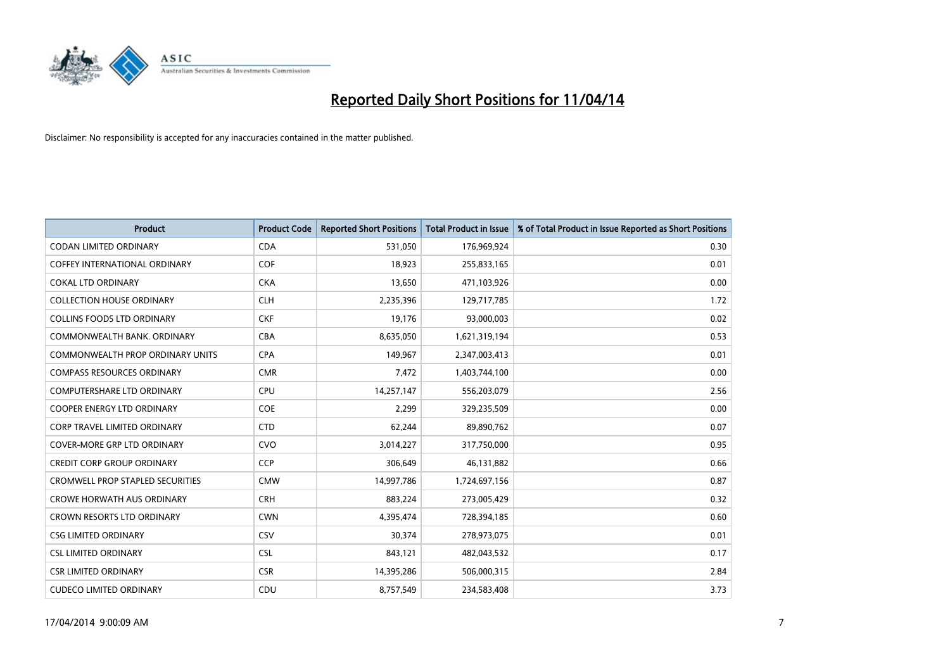

| Product                                 | <b>Product Code</b> | <b>Reported Short Positions</b> | <b>Total Product in Issue</b> | % of Total Product in Issue Reported as Short Positions |
|-----------------------------------------|---------------------|---------------------------------|-------------------------------|---------------------------------------------------------|
| <b>CODAN LIMITED ORDINARY</b>           | <b>CDA</b>          | 531,050                         | 176,969,924                   | 0.30                                                    |
| COFFEY INTERNATIONAL ORDINARY           | <b>COF</b>          | 18,923                          | 255,833,165                   | 0.01                                                    |
| <b>COKAL LTD ORDINARY</b>               | <b>CKA</b>          | 13,650                          | 471,103,926                   | 0.00                                                    |
| <b>COLLECTION HOUSE ORDINARY</b>        | <b>CLH</b>          | 2,235,396                       | 129,717,785                   | 1.72                                                    |
| <b>COLLINS FOODS LTD ORDINARY</b>       | <b>CKF</b>          | 19,176                          | 93,000,003                    | 0.02                                                    |
| COMMONWEALTH BANK, ORDINARY             | <b>CBA</b>          | 8,635,050                       | 1,621,319,194                 | 0.53                                                    |
| <b>COMMONWEALTH PROP ORDINARY UNITS</b> | <b>CPA</b>          | 149,967                         | 2,347,003,413                 | 0.01                                                    |
| <b>COMPASS RESOURCES ORDINARY</b>       | <b>CMR</b>          | 7,472                           | 1,403,744,100                 | 0.00                                                    |
| <b>COMPUTERSHARE LTD ORDINARY</b>       | <b>CPU</b>          | 14,257,147                      | 556,203,079                   | 2.56                                                    |
| <b>COOPER ENERGY LTD ORDINARY</b>       | <b>COE</b>          | 2,299                           | 329,235,509                   | 0.00                                                    |
| <b>CORP TRAVEL LIMITED ORDINARY</b>     | <b>CTD</b>          | 62,244                          | 89,890,762                    | 0.07                                                    |
| <b>COVER-MORE GRP LTD ORDINARY</b>      | <b>CVO</b>          | 3,014,227                       | 317,750,000                   | 0.95                                                    |
| <b>CREDIT CORP GROUP ORDINARY</b>       | <b>CCP</b>          | 306,649                         | 46,131,882                    | 0.66                                                    |
| <b>CROMWELL PROP STAPLED SECURITIES</b> | <b>CMW</b>          | 14,997,786                      | 1,724,697,156                 | 0.87                                                    |
| <b>CROWE HORWATH AUS ORDINARY</b>       | <b>CRH</b>          | 883,224                         | 273,005,429                   | 0.32                                                    |
| <b>CROWN RESORTS LTD ORDINARY</b>       | <b>CWN</b>          | 4,395,474                       | 728,394,185                   | 0.60                                                    |
| <b>CSG LIMITED ORDINARY</b>             | <b>CSV</b>          | 30,374                          | 278,973,075                   | 0.01                                                    |
| <b>CSL LIMITED ORDINARY</b>             | <b>CSL</b>          | 843,121                         | 482,043,532                   | 0.17                                                    |
| <b>CSR LIMITED ORDINARY</b>             | <b>CSR</b>          | 14,395,286                      | 506,000,315                   | 2.84                                                    |
| <b>CUDECO LIMITED ORDINARY</b>          | CDU                 | 8,757,549                       | 234,583,408                   | 3.73                                                    |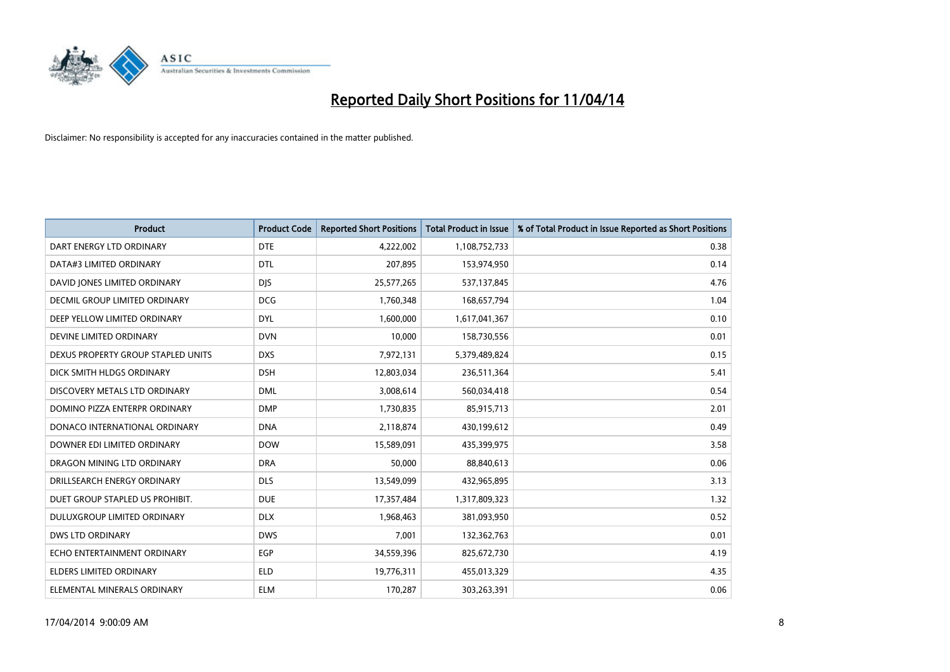

| <b>Product</b>                       | <b>Product Code</b> | <b>Reported Short Positions</b> | <b>Total Product in Issue</b> | % of Total Product in Issue Reported as Short Positions |
|--------------------------------------|---------------------|---------------------------------|-------------------------------|---------------------------------------------------------|
| DART ENERGY LTD ORDINARY             | <b>DTE</b>          | 4,222,002                       | 1,108,752,733                 | 0.38                                                    |
| DATA#3 LIMITED ORDINARY              | <b>DTL</b>          | 207,895                         | 153,974,950                   | 0.14                                                    |
| DAVID JONES LIMITED ORDINARY         | <b>DJS</b>          | 25,577,265                      | 537,137,845                   | 4.76                                                    |
| <b>DECMIL GROUP LIMITED ORDINARY</b> | <b>DCG</b>          | 1,760,348                       | 168,657,794                   | 1.04                                                    |
| DEEP YELLOW LIMITED ORDINARY         | <b>DYL</b>          | 1,600,000                       | 1,617,041,367                 | 0.10                                                    |
| DEVINE LIMITED ORDINARY              | <b>DVN</b>          | 10,000                          | 158,730,556                   | 0.01                                                    |
| DEXUS PROPERTY GROUP STAPLED UNITS   | <b>DXS</b>          | 7,972,131                       | 5,379,489,824                 | 0.15                                                    |
| DICK SMITH HLDGS ORDINARY            | <b>DSH</b>          | 12,803,034                      | 236,511,364                   | 5.41                                                    |
| DISCOVERY METALS LTD ORDINARY        | <b>DML</b>          | 3,008,614                       | 560,034,418                   | 0.54                                                    |
| DOMINO PIZZA ENTERPR ORDINARY        | <b>DMP</b>          | 1,730,835                       | 85,915,713                    | 2.01                                                    |
| DONACO INTERNATIONAL ORDINARY        | <b>DNA</b>          | 2,118,874                       | 430,199,612                   | 0.49                                                    |
| DOWNER EDI LIMITED ORDINARY          | <b>DOW</b>          | 15,589,091                      | 435,399,975                   | 3.58                                                    |
| DRAGON MINING LTD ORDINARY           | <b>DRA</b>          | 50,000                          | 88,840,613                    | 0.06                                                    |
| DRILLSEARCH ENERGY ORDINARY          | <b>DLS</b>          | 13,549,099                      | 432,965,895                   | 3.13                                                    |
| DUET GROUP STAPLED US PROHIBIT.      | <b>DUE</b>          | 17,357,484                      | 1,317,809,323                 | 1.32                                                    |
| DULUXGROUP LIMITED ORDINARY          | <b>DLX</b>          | 1,968,463                       | 381,093,950                   | 0.52                                                    |
| DWS LTD ORDINARY                     | <b>DWS</b>          | 7,001                           | 132,362,763                   | 0.01                                                    |
| ECHO ENTERTAINMENT ORDINARY          | <b>EGP</b>          | 34,559,396                      | 825,672,730                   | 4.19                                                    |
| <b>ELDERS LIMITED ORDINARY</b>       | <b>ELD</b>          | 19,776,311                      | 455,013,329                   | 4.35                                                    |
| ELEMENTAL MINERALS ORDINARY          | <b>ELM</b>          | 170,287                         | 303,263,391                   | 0.06                                                    |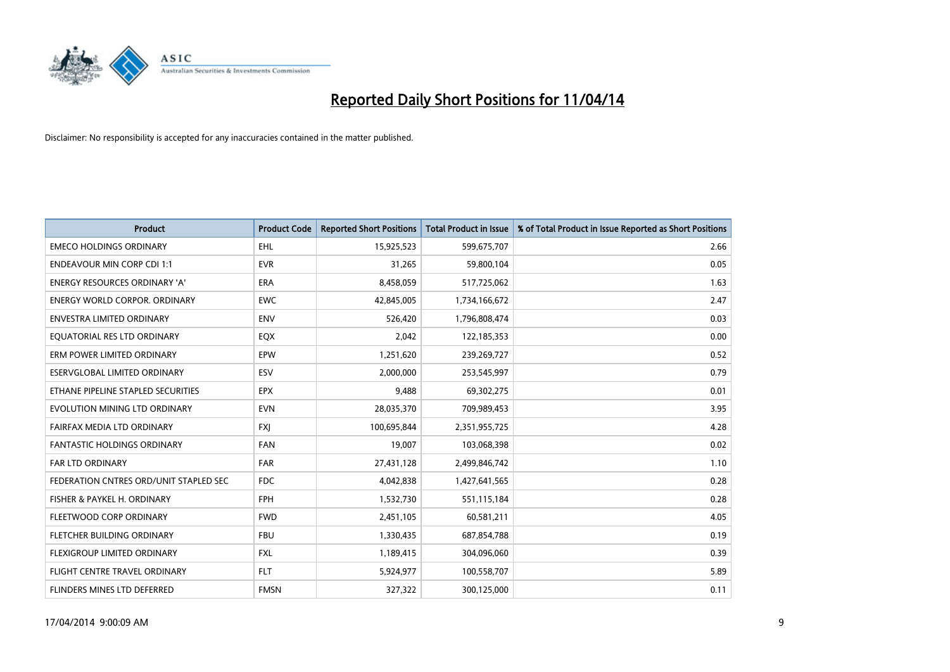

| <b>Product</b>                         | <b>Product Code</b> | <b>Reported Short Positions</b> | <b>Total Product in Issue</b> | % of Total Product in Issue Reported as Short Positions |
|----------------------------------------|---------------------|---------------------------------|-------------------------------|---------------------------------------------------------|
| <b>EMECO HOLDINGS ORDINARY</b>         | <b>EHL</b>          | 15,925,523                      | 599,675,707                   | 2.66                                                    |
| <b>ENDEAVOUR MIN CORP CDI 1:1</b>      | <b>EVR</b>          | 31,265                          | 59,800,104                    | 0.05                                                    |
| ENERGY RESOURCES ORDINARY 'A'          | <b>ERA</b>          | 8,458,059                       | 517,725,062                   | 1.63                                                    |
| <b>ENERGY WORLD CORPOR, ORDINARY</b>   | <b>EWC</b>          | 42,845,005                      | 1,734,166,672                 | 2.47                                                    |
| <b>ENVESTRA LIMITED ORDINARY</b>       | <b>ENV</b>          | 526,420                         | 1,796,808,474                 | 0.03                                                    |
| EQUATORIAL RES LTD ORDINARY            | EQX                 | 2,042                           | 122,185,353                   | 0.00                                                    |
| ERM POWER LIMITED ORDINARY             | EPW                 | 1,251,620                       | 239,269,727                   | 0.52                                                    |
| ESERVGLOBAL LIMITED ORDINARY           | ESV                 | 2,000,000                       | 253,545,997                   | 0.79                                                    |
| ETHANE PIPELINE STAPLED SECURITIES     | <b>EPX</b>          | 9,488                           | 69,302,275                    | 0.01                                                    |
| EVOLUTION MINING LTD ORDINARY          | <b>EVN</b>          | 28,035,370                      | 709,989,453                   | 3.95                                                    |
| FAIRFAX MEDIA LTD ORDINARY             | <b>FXJ</b>          | 100,695,844                     | 2,351,955,725                 | 4.28                                                    |
| FANTASTIC HOLDINGS ORDINARY            | FAN                 | 19,007                          | 103,068,398                   | 0.02                                                    |
| <b>FAR LTD ORDINARY</b>                | <b>FAR</b>          | 27,431,128                      | 2,499,846,742                 | 1.10                                                    |
| FEDERATION CNTRES ORD/UNIT STAPLED SEC | <b>FDC</b>          | 4,042,838                       | 1,427,641,565                 | 0.28                                                    |
| FISHER & PAYKEL H. ORDINARY            | <b>FPH</b>          | 1,532,730                       | 551,115,184                   | 0.28                                                    |
| FLEETWOOD CORP ORDINARY                | <b>FWD</b>          | 2,451,105                       | 60,581,211                    | 4.05                                                    |
| FLETCHER BUILDING ORDINARY             | <b>FBU</b>          | 1,330,435                       | 687,854,788                   | 0.19                                                    |
| FLEXIGROUP LIMITED ORDINARY            | <b>FXL</b>          | 1,189,415                       | 304,096,060                   | 0.39                                                    |
| FLIGHT CENTRE TRAVEL ORDINARY          | <b>FLT</b>          | 5,924,977                       | 100,558,707                   | 5.89                                                    |
| FLINDERS MINES LTD DEFERRED            | <b>FMSN</b>         | 327,322                         | 300,125,000                   | 0.11                                                    |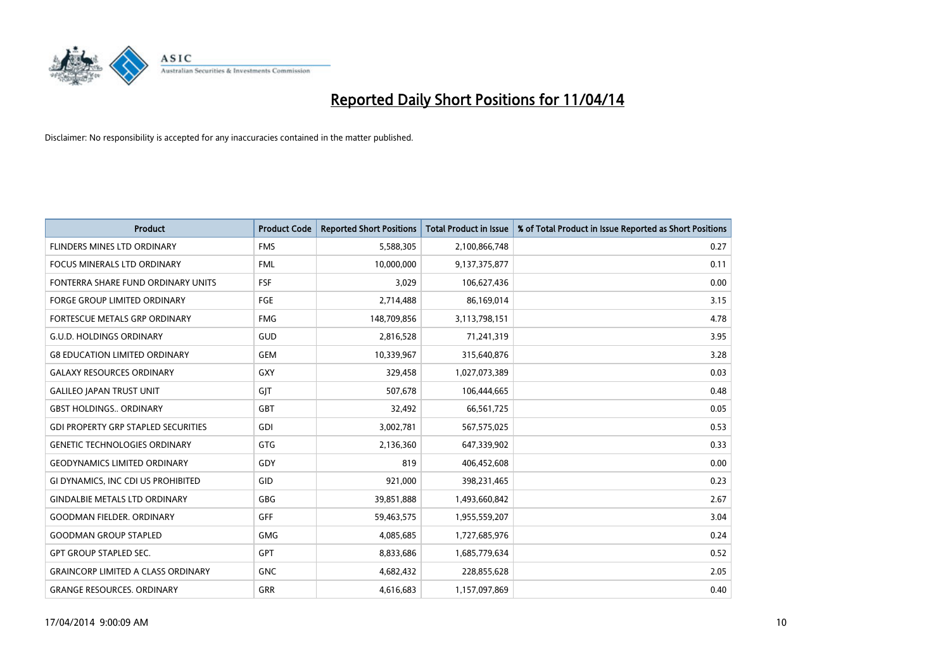

| <b>Product</b>                             | <b>Product Code</b> | <b>Reported Short Positions</b> | <b>Total Product in Issue</b> | % of Total Product in Issue Reported as Short Positions |
|--------------------------------------------|---------------------|---------------------------------|-------------------------------|---------------------------------------------------------|
| <b>FLINDERS MINES LTD ORDINARY</b>         | <b>FMS</b>          | 5,588,305                       | 2,100,866,748                 | 0.27                                                    |
| FOCUS MINERALS LTD ORDINARY                | <b>FML</b>          | 10,000,000                      | 9,137,375,877                 | 0.11                                                    |
| FONTERRA SHARE FUND ORDINARY UNITS         | <b>FSF</b>          | 3,029                           | 106,627,436                   | 0.00                                                    |
| FORGE GROUP LIMITED ORDINARY               | FGE                 | 2,714,488                       | 86,169,014                    | 3.15                                                    |
| FORTESCUE METALS GRP ORDINARY              | <b>FMG</b>          | 148,709,856                     | 3,113,798,151                 | 4.78                                                    |
| <b>G.U.D. HOLDINGS ORDINARY</b>            | GUD                 | 2,816,528                       | 71,241,319                    | 3.95                                                    |
| <b>G8 EDUCATION LIMITED ORDINARY</b>       | <b>GEM</b>          | 10,339,967                      | 315,640,876                   | 3.28                                                    |
| <b>GALAXY RESOURCES ORDINARY</b>           | GXY                 | 329,458                         | 1,027,073,389                 | 0.03                                                    |
| <b>GALILEO JAPAN TRUST UNIT</b>            | GIT                 | 507,678                         | 106,444,665                   | 0.48                                                    |
| <b>GBST HOLDINGS., ORDINARY</b>            | <b>GBT</b>          | 32,492                          | 66,561,725                    | 0.05                                                    |
| <b>GDI PROPERTY GRP STAPLED SECURITIES</b> | GDI                 | 3,002,781                       | 567,575,025                   | 0.53                                                    |
| <b>GENETIC TECHNOLOGIES ORDINARY</b>       | GTG                 | 2,136,360                       | 647,339,902                   | 0.33                                                    |
| <b>GEODYNAMICS LIMITED ORDINARY</b>        | GDY                 | 819                             | 406,452,608                   | 0.00                                                    |
| GI DYNAMICS, INC CDI US PROHIBITED         | GID                 | 921,000                         | 398,231,465                   | 0.23                                                    |
| <b>GINDALBIE METALS LTD ORDINARY</b>       | GBG                 | 39,851,888                      | 1,493,660,842                 | 2.67                                                    |
| <b>GOODMAN FIELDER. ORDINARY</b>           | <b>GFF</b>          | 59,463,575                      | 1,955,559,207                 | 3.04                                                    |
| <b>GOODMAN GROUP STAPLED</b>               | GMG                 | 4,085,685                       | 1,727,685,976                 | 0.24                                                    |
| <b>GPT GROUP STAPLED SEC.</b>              | <b>GPT</b>          | 8,833,686                       | 1,685,779,634                 | 0.52                                                    |
| <b>GRAINCORP LIMITED A CLASS ORDINARY</b>  | <b>GNC</b>          | 4,682,432                       | 228,855,628                   | 2.05                                                    |
| <b>GRANGE RESOURCES. ORDINARY</b>          | GRR                 | 4,616,683                       | 1,157,097,869                 | 0.40                                                    |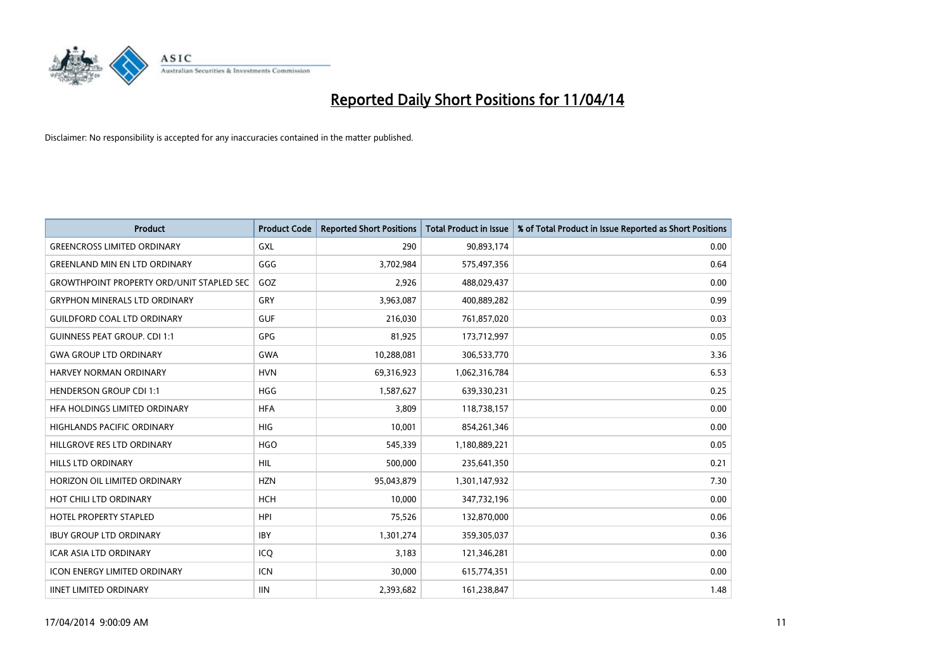

| <b>Product</b>                                   | <b>Product Code</b> | <b>Reported Short Positions</b> | <b>Total Product in Issue</b> | % of Total Product in Issue Reported as Short Positions |
|--------------------------------------------------|---------------------|---------------------------------|-------------------------------|---------------------------------------------------------|
| <b>GREENCROSS LIMITED ORDINARY</b>               | <b>GXL</b>          | 290                             | 90,893,174                    | 0.00                                                    |
| <b>GREENLAND MIN EN LTD ORDINARY</b>             | GGG                 | 3,702,984                       | 575,497,356                   | 0.64                                                    |
| <b>GROWTHPOINT PROPERTY ORD/UNIT STAPLED SEC</b> | GOZ                 | 2,926                           | 488,029,437                   | 0.00                                                    |
| <b>GRYPHON MINERALS LTD ORDINARY</b>             | GRY                 | 3,963,087                       | 400,889,282                   | 0.99                                                    |
| <b>GUILDFORD COAL LTD ORDINARY</b>               | <b>GUF</b>          | 216,030                         | 761,857,020                   | 0.03                                                    |
| <b>GUINNESS PEAT GROUP. CDI 1:1</b>              | <b>GPG</b>          | 81,925                          | 173,712,997                   | 0.05                                                    |
| <b>GWA GROUP LTD ORDINARY</b>                    | <b>GWA</b>          | 10,288,081                      | 306,533,770                   | 3.36                                                    |
| HARVEY NORMAN ORDINARY                           | <b>HVN</b>          | 69,316,923                      | 1,062,316,784                 | 6.53                                                    |
| <b>HENDERSON GROUP CDI 1:1</b>                   | <b>HGG</b>          | 1,587,627                       | 639,330,231                   | 0.25                                                    |
| HFA HOLDINGS LIMITED ORDINARY                    | <b>HFA</b>          | 3,809                           | 118,738,157                   | 0.00                                                    |
| <b>HIGHLANDS PACIFIC ORDINARY</b>                | <b>HIG</b>          | 10,001                          | 854,261,346                   | 0.00                                                    |
| HILLGROVE RES LTD ORDINARY                       | <b>HGO</b>          | 545,339                         | 1,180,889,221                 | 0.05                                                    |
| <b>HILLS LTD ORDINARY</b>                        | <b>HIL</b>          | 500,000                         | 235,641,350                   | 0.21                                                    |
| HORIZON OIL LIMITED ORDINARY                     | <b>HZN</b>          | 95,043,879                      | 1,301,147,932                 | 7.30                                                    |
| HOT CHILI LTD ORDINARY                           | <b>HCH</b>          | 10,000                          | 347,732,196                   | 0.00                                                    |
| <b>HOTEL PROPERTY STAPLED</b>                    | <b>HPI</b>          | 75,526                          | 132,870,000                   | 0.06                                                    |
| <b>IBUY GROUP LTD ORDINARY</b>                   | <b>IBY</b>          | 1,301,274                       | 359,305,037                   | 0.36                                                    |
| <b>ICAR ASIA LTD ORDINARY</b>                    | ICQ                 | 3,183                           | 121,346,281                   | 0.00                                                    |
| <b>ICON ENERGY LIMITED ORDINARY</b>              | <b>ICN</b>          | 30,000                          | 615,774,351                   | 0.00                                                    |
| <b>IINET LIMITED ORDINARY</b>                    | <b>IIN</b>          | 2,393,682                       | 161,238,847                   | 1.48                                                    |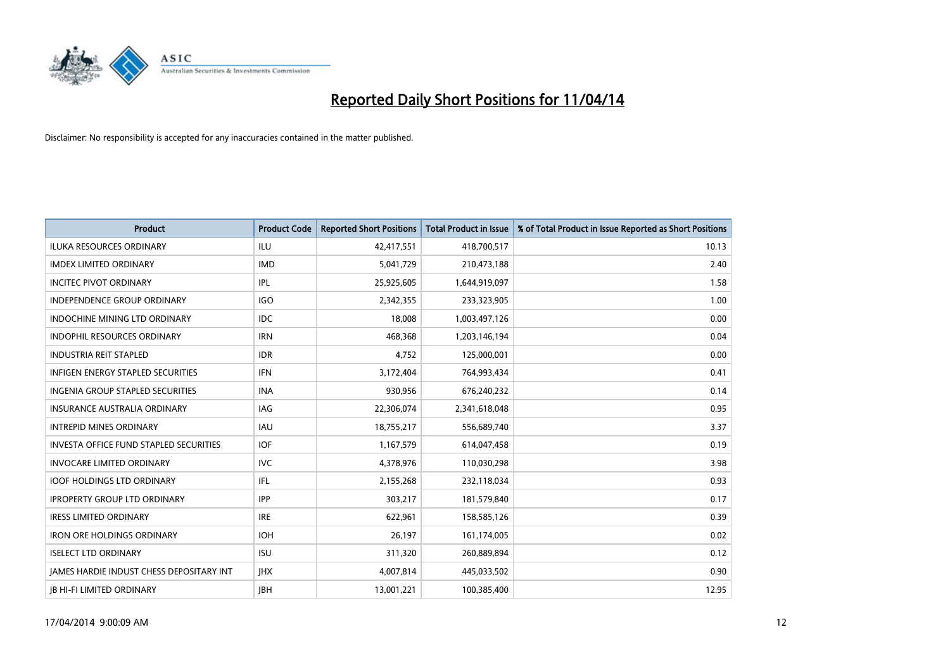

| <b>Product</b>                                  | <b>Product Code</b> | <b>Reported Short Positions</b> | <b>Total Product in Issue</b> | % of Total Product in Issue Reported as Short Positions |
|-------------------------------------------------|---------------------|---------------------------------|-------------------------------|---------------------------------------------------------|
| <b>ILUKA RESOURCES ORDINARY</b>                 | <b>ILU</b>          | 42,417,551                      | 418,700,517                   | 10.13                                                   |
| <b>IMDEX LIMITED ORDINARY</b>                   | <b>IMD</b>          | 5,041,729                       | 210,473,188                   | 2.40                                                    |
| <b>INCITEC PIVOT ORDINARY</b>                   | IPL                 | 25,925,605                      | 1,644,919,097                 | 1.58                                                    |
| INDEPENDENCE GROUP ORDINARY                     | <b>IGO</b>          | 2,342,355                       | 233,323,905                   | 1.00                                                    |
| <b>INDOCHINE MINING LTD ORDINARY</b>            | <b>IDC</b>          | 18,008                          | 1,003,497,126                 | 0.00                                                    |
| <b>INDOPHIL RESOURCES ORDINARY</b>              | <b>IRN</b>          | 468,368                         | 1,203,146,194                 | 0.04                                                    |
| <b>INDUSTRIA REIT STAPLED</b>                   | <b>IDR</b>          | 4,752                           | 125,000,001                   | 0.00                                                    |
| INFIGEN ENERGY STAPLED SECURITIES               | <b>IFN</b>          | 3,172,404                       | 764,993,434                   | 0.41                                                    |
| <b>INGENIA GROUP STAPLED SECURITIES</b>         | <b>INA</b>          | 930,956                         | 676,240,232                   | 0.14                                                    |
| <b>INSURANCE AUSTRALIA ORDINARY</b>             | <b>IAG</b>          | 22,306,074                      | 2,341,618,048                 | 0.95                                                    |
| <b>INTREPID MINES ORDINARY</b>                  | <b>IAU</b>          | 18,755,217                      | 556,689,740                   | 3.37                                                    |
| <b>INVESTA OFFICE FUND STAPLED SECURITIES</b>   | <b>IOF</b>          | 1,167,579                       | 614,047,458                   | 0.19                                                    |
| <b>INVOCARE LIMITED ORDINARY</b>                | <b>IVC</b>          | 4,378,976                       | 110,030,298                   | 3.98                                                    |
| <b>IOOF HOLDINGS LTD ORDINARY</b>               | IFL                 | 2,155,268                       | 232,118,034                   | 0.93                                                    |
| <b>IPROPERTY GROUP LTD ORDINARY</b>             | <b>IPP</b>          | 303,217                         | 181,579,840                   | 0.17                                                    |
| <b>IRESS LIMITED ORDINARY</b>                   | <b>IRE</b>          | 622,961                         | 158,585,126                   | 0.39                                                    |
| <b>IRON ORE HOLDINGS ORDINARY</b>               | <b>IOH</b>          | 26,197                          | 161,174,005                   | 0.02                                                    |
| <b>ISELECT LTD ORDINARY</b>                     | <b>ISU</b>          | 311,320                         | 260,889,894                   | 0.12                                                    |
| <b>JAMES HARDIE INDUST CHESS DEPOSITARY INT</b> | <b>IHX</b>          | 4,007,814                       | 445,033,502                   | 0.90                                                    |
| <b>JB HI-FI LIMITED ORDINARY</b>                | <b>IBH</b>          | 13,001,221                      | 100,385,400                   | 12.95                                                   |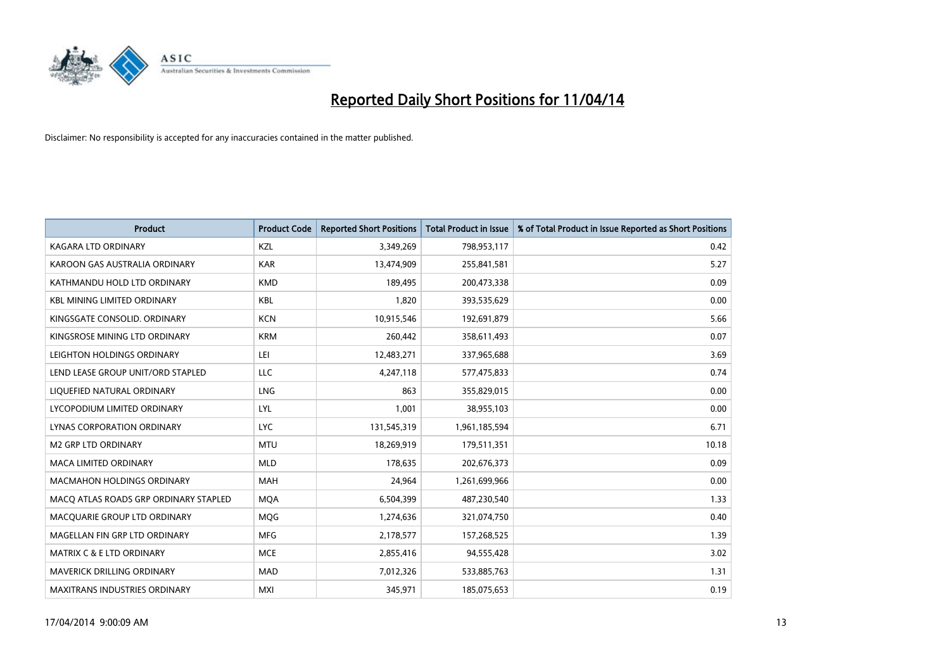

| <b>Product</b>                        | <b>Product Code</b> | <b>Reported Short Positions</b> | <b>Total Product in Issue</b> | % of Total Product in Issue Reported as Short Positions |
|---------------------------------------|---------------------|---------------------------------|-------------------------------|---------------------------------------------------------|
| <b>KAGARA LTD ORDINARY</b>            | KZL                 | 3,349,269                       | 798,953,117                   | 0.42                                                    |
| KAROON GAS AUSTRALIA ORDINARY         | <b>KAR</b>          | 13,474,909                      | 255,841,581                   | 5.27                                                    |
| KATHMANDU HOLD LTD ORDINARY           | <b>KMD</b>          | 189,495                         | 200,473,338                   | 0.09                                                    |
| <b>KBL MINING LIMITED ORDINARY</b>    | <b>KBL</b>          | 1,820                           | 393,535,629                   | 0.00                                                    |
| KINGSGATE CONSOLID. ORDINARY          | <b>KCN</b>          | 10,915,546                      | 192,691,879                   | 5.66                                                    |
| KINGSROSE MINING LTD ORDINARY         | <b>KRM</b>          | 260,442                         | 358,611,493                   | 0.07                                                    |
| LEIGHTON HOLDINGS ORDINARY            | LEI                 | 12,483,271                      | 337,965,688                   | 3.69                                                    |
| LEND LEASE GROUP UNIT/ORD STAPLED     | LLC                 | 4,247,118                       | 577,475,833                   | 0.74                                                    |
| LIQUEFIED NATURAL ORDINARY            | <b>LNG</b>          | 863                             | 355,829,015                   | 0.00                                                    |
| LYCOPODIUM LIMITED ORDINARY           | LYL                 | 1,001                           | 38,955,103                    | 0.00                                                    |
| LYNAS CORPORATION ORDINARY            | <b>LYC</b>          | 131,545,319                     | 1,961,185,594                 | 6.71                                                    |
| M2 GRP LTD ORDINARY                   | <b>MTU</b>          | 18,269,919                      | 179,511,351                   | 10.18                                                   |
| <b>MACA LIMITED ORDINARY</b>          | <b>MLD</b>          | 178,635                         | 202,676,373                   | 0.09                                                    |
| <b>MACMAHON HOLDINGS ORDINARY</b>     | <b>MAH</b>          | 24,964                          | 1,261,699,966                 | 0.00                                                    |
| MACO ATLAS ROADS GRP ORDINARY STAPLED | <b>MQA</b>          | 6,504,399                       | 487,230,540                   | 1.33                                                    |
| MACQUARIE GROUP LTD ORDINARY          | <b>MOG</b>          | 1,274,636                       | 321,074,750                   | 0.40                                                    |
| MAGELLAN FIN GRP LTD ORDINARY         | <b>MFG</b>          | 2,178,577                       | 157,268,525                   | 1.39                                                    |
| <b>MATRIX C &amp; E LTD ORDINARY</b>  | <b>MCE</b>          | 2,855,416                       | 94,555,428                    | 3.02                                                    |
| MAVERICK DRILLING ORDINARY            | <b>MAD</b>          | 7,012,326                       | 533,885,763                   | 1.31                                                    |
| <b>MAXITRANS INDUSTRIES ORDINARY</b>  | <b>MXI</b>          | 345,971                         | 185,075,653                   | 0.19                                                    |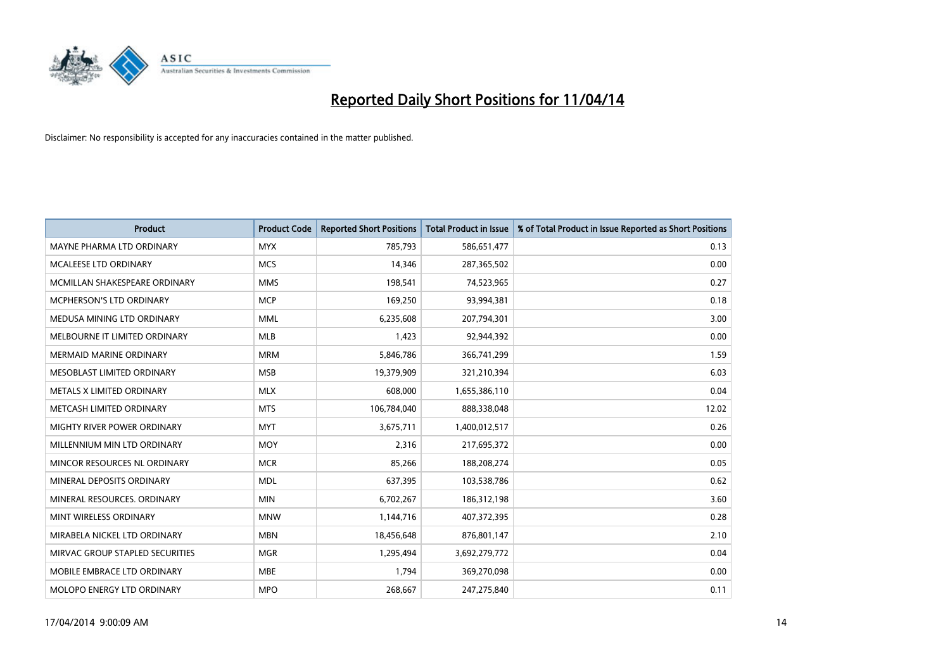

| <b>Product</b>                  | <b>Product Code</b> | <b>Reported Short Positions</b> | <b>Total Product in Issue</b> | % of Total Product in Issue Reported as Short Positions |
|---------------------------------|---------------------|---------------------------------|-------------------------------|---------------------------------------------------------|
| MAYNE PHARMA LTD ORDINARY       | <b>MYX</b>          | 785,793                         | 586,651,477                   | 0.13                                                    |
| MCALEESE LTD ORDINARY           | <b>MCS</b>          | 14,346                          | 287,365,502                   | 0.00                                                    |
| MCMILLAN SHAKESPEARE ORDINARY   | <b>MMS</b>          | 198,541                         | 74,523,965                    | 0.27                                                    |
| MCPHERSON'S LTD ORDINARY        | <b>MCP</b>          | 169,250                         | 93,994,381                    | 0.18                                                    |
| MEDUSA MINING LTD ORDINARY      | <b>MML</b>          | 6,235,608                       | 207,794,301                   | 3.00                                                    |
| MELBOURNE IT LIMITED ORDINARY   | <b>MLB</b>          | 1,423                           | 92,944,392                    | 0.00                                                    |
| <b>MERMAID MARINE ORDINARY</b>  | <b>MRM</b>          | 5,846,786                       | 366,741,299                   | 1.59                                                    |
| MESOBLAST LIMITED ORDINARY      | <b>MSB</b>          | 19,379,909                      | 321,210,394                   | 6.03                                                    |
| METALS X LIMITED ORDINARY       | <b>MLX</b>          | 608,000                         | 1,655,386,110                 | 0.04                                                    |
| METCASH LIMITED ORDINARY        | <b>MTS</b>          | 106,784,040                     | 888,338,048                   | 12.02                                                   |
| MIGHTY RIVER POWER ORDINARY     | <b>MYT</b>          | 3,675,711                       | 1,400,012,517                 | 0.26                                                    |
| MILLENNIUM MIN LTD ORDINARY     | <b>MOY</b>          | 2,316                           | 217,695,372                   | 0.00                                                    |
| MINCOR RESOURCES NL ORDINARY    | <b>MCR</b>          | 85,266                          | 188,208,274                   | 0.05                                                    |
| MINERAL DEPOSITS ORDINARY       | <b>MDL</b>          | 637,395                         | 103,538,786                   | 0.62                                                    |
| MINERAL RESOURCES, ORDINARY     | <b>MIN</b>          | 6,702,267                       | 186,312,198                   | 3.60                                                    |
| MINT WIRELESS ORDINARY          | <b>MNW</b>          | 1,144,716                       | 407,372,395                   | 0.28                                                    |
| MIRABELA NICKEL LTD ORDINARY    | <b>MBN</b>          | 18,456,648                      | 876,801,147                   | 2.10                                                    |
| MIRVAC GROUP STAPLED SECURITIES | <b>MGR</b>          | 1,295,494                       | 3,692,279,772                 | 0.04                                                    |
| MOBILE EMBRACE LTD ORDINARY     | <b>MBE</b>          | 1,794                           | 369,270,098                   | 0.00                                                    |
| MOLOPO ENERGY LTD ORDINARY      | <b>MPO</b>          | 268,667                         | 247,275,840                   | 0.11                                                    |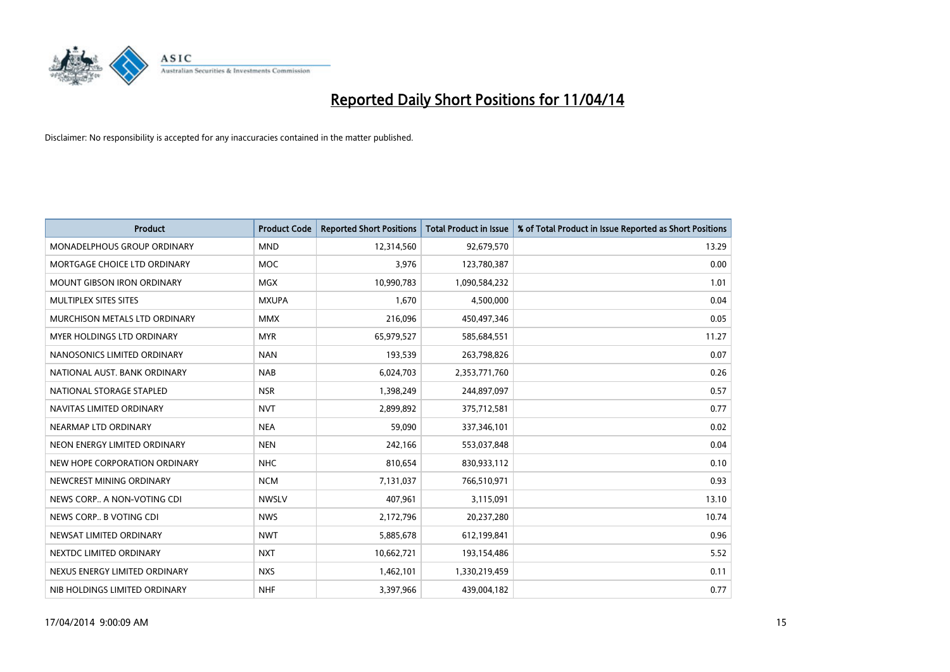

| <b>Product</b>                    | <b>Product Code</b> | <b>Reported Short Positions</b> | <b>Total Product in Issue</b> | % of Total Product in Issue Reported as Short Positions |
|-----------------------------------|---------------------|---------------------------------|-------------------------------|---------------------------------------------------------|
| MONADELPHOUS GROUP ORDINARY       | <b>MND</b>          | 12,314,560                      | 92,679,570                    | 13.29                                                   |
| MORTGAGE CHOICE LTD ORDINARY      | MOC                 | 3,976                           | 123,780,387                   | 0.00                                                    |
| <b>MOUNT GIBSON IRON ORDINARY</b> | <b>MGX</b>          | 10,990,783                      | 1,090,584,232                 | 1.01                                                    |
| MULTIPLEX SITES SITES             | <b>MXUPA</b>        | 1,670                           | 4,500,000                     | 0.04                                                    |
| MURCHISON METALS LTD ORDINARY     | <b>MMX</b>          | 216,096                         | 450,497,346                   | 0.05                                                    |
| MYER HOLDINGS LTD ORDINARY        | <b>MYR</b>          | 65,979,527                      | 585,684,551                   | 11.27                                                   |
| NANOSONICS LIMITED ORDINARY       | <b>NAN</b>          | 193,539                         | 263,798,826                   | 0.07                                                    |
| NATIONAL AUST. BANK ORDINARY      | <b>NAB</b>          | 6,024,703                       | 2,353,771,760                 | 0.26                                                    |
| NATIONAL STORAGE STAPLED          | <b>NSR</b>          | 1,398,249                       | 244,897,097                   | 0.57                                                    |
| NAVITAS LIMITED ORDINARY          | <b>NVT</b>          | 2,899,892                       | 375,712,581                   | 0.77                                                    |
| NEARMAP LTD ORDINARY              | <b>NEA</b>          | 59,090                          | 337,346,101                   | 0.02                                                    |
| NEON ENERGY LIMITED ORDINARY      | <b>NEN</b>          | 242,166                         | 553,037,848                   | 0.04                                                    |
| NEW HOPE CORPORATION ORDINARY     | <b>NHC</b>          | 810,654                         | 830,933,112                   | 0.10                                                    |
| NEWCREST MINING ORDINARY          | <b>NCM</b>          | 7,131,037                       | 766,510,971                   | 0.93                                                    |
| NEWS CORP A NON-VOTING CDI        | <b>NWSLV</b>        | 407,961                         | 3,115,091                     | 13.10                                                   |
| NEWS CORP B VOTING CDI            | <b>NWS</b>          | 2,172,796                       | 20,237,280                    | 10.74                                                   |
| NEWSAT LIMITED ORDINARY           | <b>NWT</b>          | 5,885,678                       | 612,199,841                   | 0.96                                                    |
| NEXTDC LIMITED ORDINARY           | <b>NXT</b>          | 10,662,721                      | 193,154,486                   | 5.52                                                    |
| NEXUS ENERGY LIMITED ORDINARY     | <b>NXS</b>          | 1,462,101                       | 1,330,219,459                 | 0.11                                                    |
| NIB HOLDINGS LIMITED ORDINARY     | <b>NHF</b>          | 3,397,966                       | 439,004,182                   | 0.77                                                    |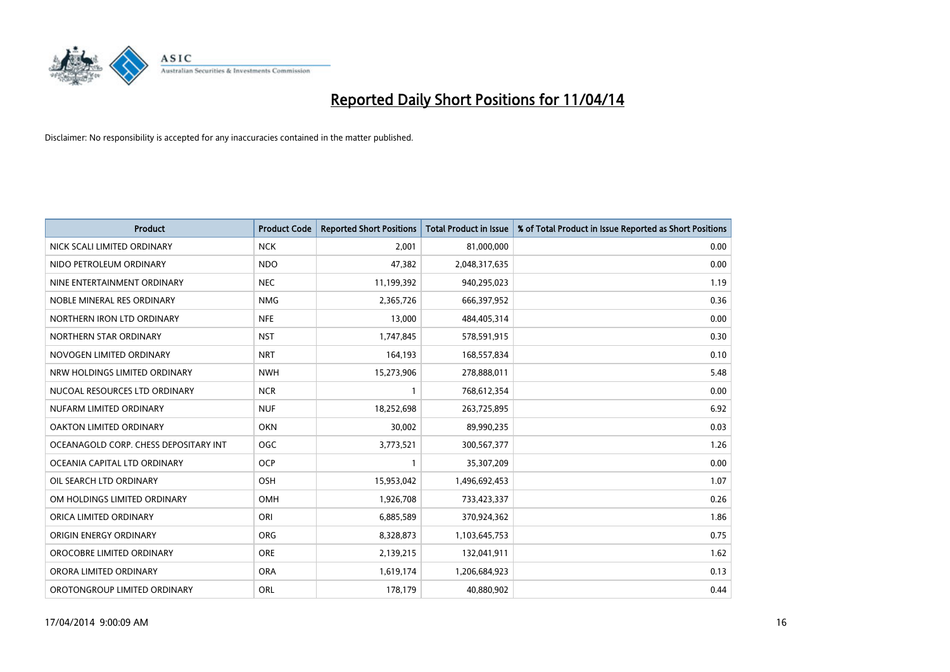

| <b>Product</b>                        | <b>Product Code</b> | <b>Reported Short Positions</b> | Total Product in Issue | % of Total Product in Issue Reported as Short Positions |
|---------------------------------------|---------------------|---------------------------------|------------------------|---------------------------------------------------------|
| NICK SCALI LIMITED ORDINARY           | <b>NCK</b>          | 2,001                           | 81,000,000             | 0.00                                                    |
| NIDO PETROLEUM ORDINARY               | <b>NDO</b>          | 47,382                          | 2,048,317,635          | 0.00                                                    |
| NINE ENTERTAINMENT ORDINARY           | <b>NEC</b>          | 11,199,392                      | 940,295,023            | 1.19                                                    |
| NOBLE MINERAL RES ORDINARY            | <b>NMG</b>          | 2,365,726                       | 666,397,952            | 0.36                                                    |
| NORTHERN IRON LTD ORDINARY            | <b>NFE</b>          | 13,000                          | 484,405,314            | 0.00                                                    |
| NORTHERN STAR ORDINARY                | <b>NST</b>          | 1,747,845                       | 578,591,915            | 0.30                                                    |
| NOVOGEN LIMITED ORDINARY              | <b>NRT</b>          | 164,193                         | 168,557,834            | 0.10                                                    |
| NRW HOLDINGS LIMITED ORDINARY         | <b>NWH</b>          | 15,273,906                      | 278,888,011            | 5.48                                                    |
| NUCOAL RESOURCES LTD ORDINARY         | <b>NCR</b>          | 1                               | 768,612,354            | 0.00                                                    |
| NUFARM LIMITED ORDINARY               | <b>NUF</b>          | 18,252,698                      | 263,725,895            | 6.92                                                    |
| OAKTON LIMITED ORDINARY               | <b>OKN</b>          | 30,002                          | 89,990,235             | 0.03                                                    |
| OCEANAGOLD CORP. CHESS DEPOSITARY INT | <b>OGC</b>          | 3,773,521                       | 300,567,377            | 1.26                                                    |
| OCEANIA CAPITAL LTD ORDINARY          | <b>OCP</b>          | $\mathbf{1}$                    | 35,307,209             | 0.00                                                    |
| OIL SEARCH LTD ORDINARY               | OSH                 | 15,953,042                      | 1,496,692,453          | 1.07                                                    |
| OM HOLDINGS LIMITED ORDINARY          | <b>OMH</b>          | 1,926,708                       | 733,423,337            | 0.26                                                    |
| ORICA LIMITED ORDINARY                | ORI                 | 6,885,589                       | 370,924,362            | 1.86                                                    |
| ORIGIN ENERGY ORDINARY                | ORG                 | 8,328,873                       | 1,103,645,753          | 0.75                                                    |
| OROCOBRE LIMITED ORDINARY             | ORE                 | 2,139,215                       | 132,041,911            | 1.62                                                    |
| ORORA LIMITED ORDINARY                | <b>ORA</b>          | 1,619,174                       | 1,206,684,923          | 0.13                                                    |
| OROTONGROUP LIMITED ORDINARY          | ORL                 | 178,179                         | 40,880,902             | 0.44                                                    |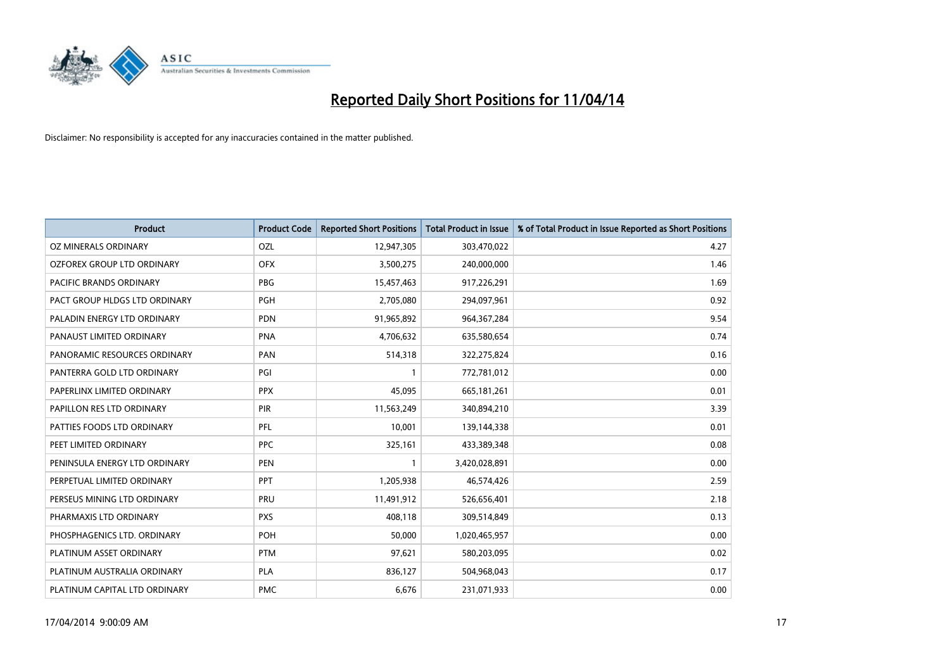

| <b>Product</b>                | <b>Product Code</b> | <b>Reported Short Positions</b> | <b>Total Product in Issue</b> | % of Total Product in Issue Reported as Short Positions |
|-------------------------------|---------------------|---------------------------------|-------------------------------|---------------------------------------------------------|
| <b>OZ MINERALS ORDINARY</b>   | OZL                 | 12,947,305                      | 303,470,022                   | 4.27                                                    |
| OZFOREX GROUP LTD ORDINARY    | <b>OFX</b>          | 3,500,275                       | 240,000,000                   | 1.46                                                    |
| PACIFIC BRANDS ORDINARY       | <b>PBG</b>          | 15,457,463                      | 917,226,291                   | 1.69                                                    |
| PACT GROUP HLDGS LTD ORDINARY | <b>PGH</b>          | 2,705,080                       | 294,097,961                   | 0.92                                                    |
| PALADIN ENERGY LTD ORDINARY   | PDN                 | 91,965,892                      | 964, 367, 284                 | 9.54                                                    |
| PANAUST LIMITED ORDINARY      | <b>PNA</b>          | 4,706,632                       | 635,580,654                   | 0.74                                                    |
| PANORAMIC RESOURCES ORDINARY  | PAN                 | 514,318                         | 322,275,824                   | 0.16                                                    |
| PANTERRA GOLD LTD ORDINARY    | PGI                 | $\mathbf{1}$                    | 772,781,012                   | 0.00                                                    |
| PAPERLINX LIMITED ORDINARY    | <b>PPX</b>          | 45,095                          | 665, 181, 261                 | 0.01                                                    |
| PAPILLON RES LTD ORDINARY     | PIR                 | 11,563,249                      | 340,894,210                   | 3.39                                                    |
| PATTIES FOODS LTD ORDINARY    | PFL                 | 10,001                          | 139,144,338                   | 0.01                                                    |
| PEET LIMITED ORDINARY         | <b>PPC</b>          | 325,161                         | 433,389,348                   | 0.08                                                    |
| PENINSULA ENERGY LTD ORDINARY | <b>PEN</b>          | $\mathbf{1}$                    | 3,420,028,891                 | 0.00                                                    |
| PERPETUAL LIMITED ORDINARY    | <b>PPT</b>          | 1,205,938                       | 46,574,426                    | 2.59                                                    |
| PERSEUS MINING LTD ORDINARY   | PRU                 | 11,491,912                      | 526,656,401                   | 2.18                                                    |
| PHARMAXIS LTD ORDINARY        | <b>PXS</b>          | 408,118                         | 309,514,849                   | 0.13                                                    |
| PHOSPHAGENICS LTD. ORDINARY   | POH                 | 50,000                          | 1,020,465,957                 | 0.00                                                    |
| PLATINUM ASSET ORDINARY       | <b>PTM</b>          | 97,621                          | 580,203,095                   | 0.02                                                    |
| PLATINUM AUSTRALIA ORDINARY   | PLA                 | 836,127                         | 504,968,043                   | 0.17                                                    |
| PLATINUM CAPITAL LTD ORDINARY | <b>PMC</b>          | 6,676                           | 231,071,933                   | 0.00                                                    |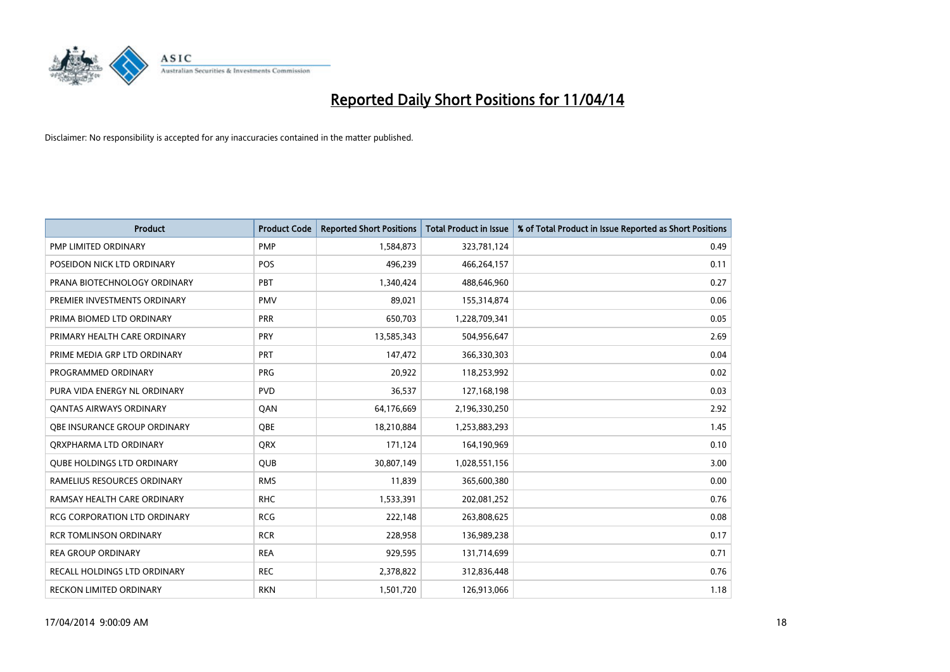

| <b>Product</b>                      | <b>Product Code</b> | <b>Reported Short Positions</b> | <b>Total Product in Issue</b> | % of Total Product in Issue Reported as Short Positions |
|-------------------------------------|---------------------|---------------------------------|-------------------------------|---------------------------------------------------------|
| <b>PMP LIMITED ORDINARY</b>         | <b>PMP</b>          | 1,584,873                       | 323,781,124                   | 0.49                                                    |
| POSEIDON NICK LTD ORDINARY          | <b>POS</b>          | 496,239                         | 466,264,157                   | 0.11                                                    |
| PRANA BIOTECHNOLOGY ORDINARY        | PBT                 | 1,340,424                       | 488,646,960                   | 0.27                                                    |
| PREMIER INVESTMENTS ORDINARY        | <b>PMV</b>          | 89,021                          | 155,314,874                   | 0.06                                                    |
| PRIMA BIOMED LTD ORDINARY           | <b>PRR</b>          | 650,703                         | 1,228,709,341                 | 0.05                                                    |
| PRIMARY HEALTH CARE ORDINARY        | PRY                 | 13,585,343                      | 504,956,647                   | 2.69                                                    |
| PRIME MEDIA GRP LTD ORDINARY        | <b>PRT</b>          | 147,472                         | 366,330,303                   | 0.04                                                    |
| PROGRAMMED ORDINARY                 | <b>PRG</b>          | 20,922                          | 118,253,992                   | 0.02                                                    |
| PURA VIDA ENERGY NL ORDINARY        | <b>PVD</b>          | 36,537                          | 127,168,198                   | 0.03                                                    |
| <b>QANTAS AIRWAYS ORDINARY</b>      | QAN                 | 64,176,669                      | 2,196,330,250                 | 2.92                                                    |
| <b>OBE INSURANCE GROUP ORDINARY</b> | <b>OBE</b>          | 18,210,884                      | 1,253,883,293                 | 1.45                                                    |
| ORXPHARMA LTD ORDINARY              | QRX                 | 171,124                         | 164,190,969                   | 0.10                                                    |
| <b>QUBE HOLDINGS LTD ORDINARY</b>   | <b>QUB</b>          | 30,807,149                      | 1,028,551,156                 | 3.00                                                    |
| RAMELIUS RESOURCES ORDINARY         | <b>RMS</b>          | 11,839                          | 365,600,380                   | 0.00                                                    |
| RAMSAY HEALTH CARE ORDINARY         | <b>RHC</b>          | 1,533,391                       | 202,081,252                   | 0.76                                                    |
| RCG CORPORATION LTD ORDINARY        | <b>RCG</b>          | 222,148                         | 263,808,625                   | 0.08                                                    |
| <b>RCR TOMLINSON ORDINARY</b>       | <b>RCR</b>          | 228,958                         | 136,989,238                   | 0.17                                                    |
| <b>REA GROUP ORDINARY</b>           | <b>REA</b>          | 929,595                         | 131,714,699                   | 0.71                                                    |
| <b>RECALL HOLDINGS LTD ORDINARY</b> | <b>REC</b>          | 2,378,822                       | 312,836,448                   | 0.76                                                    |
| RECKON LIMITED ORDINARY             | <b>RKN</b>          | 1,501,720                       | 126,913,066                   | 1.18                                                    |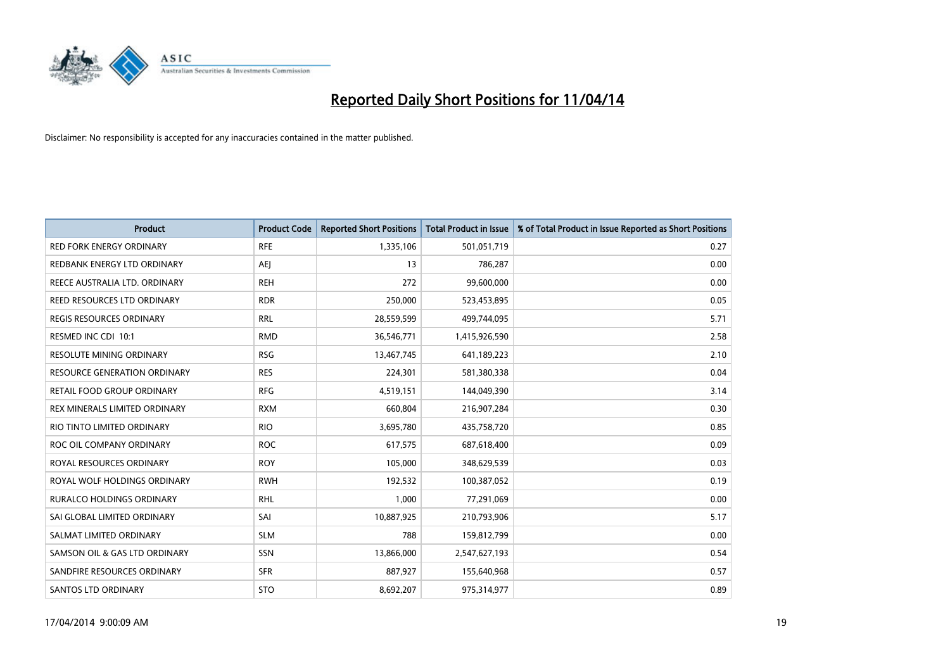

| <b>Product</b>                      | <b>Product Code</b> | <b>Reported Short Positions</b> | <b>Total Product in Issue</b> | % of Total Product in Issue Reported as Short Positions |
|-------------------------------------|---------------------|---------------------------------|-------------------------------|---------------------------------------------------------|
| <b>RED FORK ENERGY ORDINARY</b>     | <b>RFE</b>          | 1,335,106                       | 501,051,719                   | 0.27                                                    |
| REDBANK ENERGY LTD ORDINARY         | AEJ                 | 13                              | 786,287                       | 0.00                                                    |
| REECE AUSTRALIA LTD. ORDINARY       | <b>REH</b>          | 272                             | 99,600,000                    | 0.00                                                    |
| REED RESOURCES LTD ORDINARY         | <b>RDR</b>          | 250,000                         | 523,453,895                   | 0.05                                                    |
| <b>REGIS RESOURCES ORDINARY</b>     | <b>RRL</b>          | 28,559,599                      | 499,744,095                   | 5.71                                                    |
| RESMED INC CDI 10:1                 | <b>RMD</b>          | 36,546,771                      | 1,415,926,590                 | 2.58                                                    |
| <b>RESOLUTE MINING ORDINARY</b>     | <b>RSG</b>          | 13,467,745                      | 641,189,223                   | 2.10                                                    |
| <b>RESOURCE GENERATION ORDINARY</b> | <b>RES</b>          | 224,301                         | 581,380,338                   | 0.04                                                    |
| <b>RETAIL FOOD GROUP ORDINARY</b>   | <b>RFG</b>          | 4,519,151                       | 144,049,390                   | 3.14                                                    |
| REX MINERALS LIMITED ORDINARY       | <b>RXM</b>          | 660,804                         | 216,907,284                   | 0.30                                                    |
| RIO TINTO LIMITED ORDINARY          | <b>RIO</b>          | 3,695,780                       | 435,758,720                   | 0.85                                                    |
| ROC OIL COMPANY ORDINARY            | <b>ROC</b>          | 617,575                         | 687,618,400                   | 0.09                                                    |
| ROYAL RESOURCES ORDINARY            | <b>ROY</b>          | 105,000                         | 348,629,539                   | 0.03                                                    |
| ROYAL WOLF HOLDINGS ORDINARY        | <b>RWH</b>          | 192,532                         | 100,387,052                   | 0.19                                                    |
| <b>RURALCO HOLDINGS ORDINARY</b>    | <b>RHL</b>          | 1,000                           | 77,291,069                    | 0.00                                                    |
| SAI GLOBAL LIMITED ORDINARY         | SAI                 | 10,887,925                      | 210,793,906                   | 5.17                                                    |
| SALMAT LIMITED ORDINARY             | <b>SLM</b>          | 788                             | 159,812,799                   | 0.00                                                    |
| SAMSON OIL & GAS LTD ORDINARY       | SSN                 | 13,866,000                      | 2,547,627,193                 | 0.54                                                    |
| SANDFIRE RESOURCES ORDINARY         | <b>SFR</b>          | 887,927                         | 155,640,968                   | 0.57                                                    |
| SANTOS LTD ORDINARY                 | <b>STO</b>          | 8,692,207                       | 975,314,977                   | 0.89                                                    |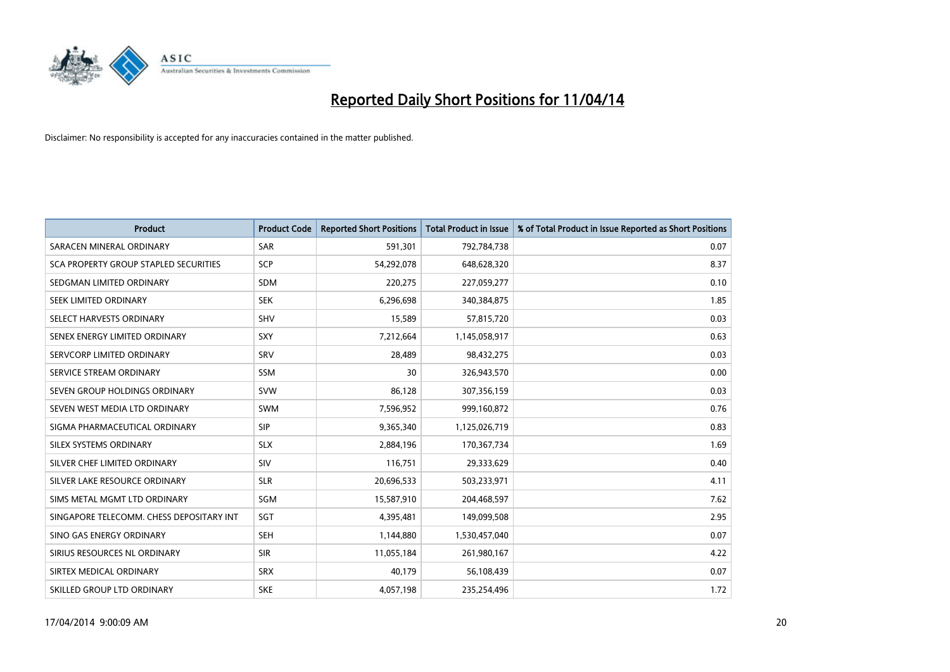

| <b>Product</b>                           | <b>Product Code</b> | <b>Reported Short Positions</b> | <b>Total Product in Issue</b> | % of Total Product in Issue Reported as Short Positions |
|------------------------------------------|---------------------|---------------------------------|-------------------------------|---------------------------------------------------------|
| SARACEN MINERAL ORDINARY                 | <b>SAR</b>          | 591,301                         | 792,784,738                   | 0.07                                                    |
| SCA PROPERTY GROUP STAPLED SECURITIES    | SCP                 | 54,292,078                      | 648,628,320                   | 8.37                                                    |
| SEDGMAN LIMITED ORDINARY                 | <b>SDM</b>          | 220,275                         | 227,059,277                   | 0.10                                                    |
| SEEK LIMITED ORDINARY                    | <b>SEK</b>          | 6,296,698                       | 340,384,875                   | 1.85                                                    |
| SELECT HARVESTS ORDINARY                 | <b>SHV</b>          | 15,589                          | 57,815,720                    | 0.03                                                    |
| SENEX ENERGY LIMITED ORDINARY            | SXY                 | 7,212,664                       | 1,145,058,917                 | 0.63                                                    |
| SERVCORP LIMITED ORDINARY                | <b>SRV</b>          | 28,489                          | 98,432,275                    | 0.03                                                    |
| SERVICE STREAM ORDINARY                  | <b>SSM</b>          | 30                              | 326,943,570                   | 0.00                                                    |
| SEVEN GROUP HOLDINGS ORDINARY            | <b>SVW</b>          | 86,128                          | 307,356,159                   | 0.03                                                    |
| SEVEN WEST MEDIA LTD ORDINARY            | <b>SWM</b>          | 7,596,952                       | 999,160,872                   | 0.76                                                    |
| SIGMA PHARMACEUTICAL ORDINARY            | <b>SIP</b>          | 9,365,340                       | 1,125,026,719                 | 0.83                                                    |
| SILEX SYSTEMS ORDINARY                   | <b>SLX</b>          | 2,884,196                       | 170,367,734                   | 1.69                                                    |
| SILVER CHEF LIMITED ORDINARY             | SIV                 | 116,751                         | 29,333,629                    | 0.40                                                    |
| SILVER LAKE RESOURCE ORDINARY            | <b>SLR</b>          | 20,696,533                      | 503,233,971                   | 4.11                                                    |
| SIMS METAL MGMT LTD ORDINARY             | SGM                 | 15,587,910                      | 204,468,597                   | 7.62                                                    |
| SINGAPORE TELECOMM. CHESS DEPOSITARY INT | SGT                 | 4,395,481                       | 149,099,508                   | 2.95                                                    |
| SINO GAS ENERGY ORDINARY                 | SEH                 | 1,144,880                       | 1,530,457,040                 | 0.07                                                    |
| SIRIUS RESOURCES NL ORDINARY             | <b>SIR</b>          | 11,055,184                      | 261,980,167                   | 4.22                                                    |
| SIRTEX MEDICAL ORDINARY                  | <b>SRX</b>          | 40,179                          | 56,108,439                    | 0.07                                                    |
| SKILLED GROUP LTD ORDINARY               | <b>SKE</b>          | 4,057,198                       | 235,254,496                   | 1.72                                                    |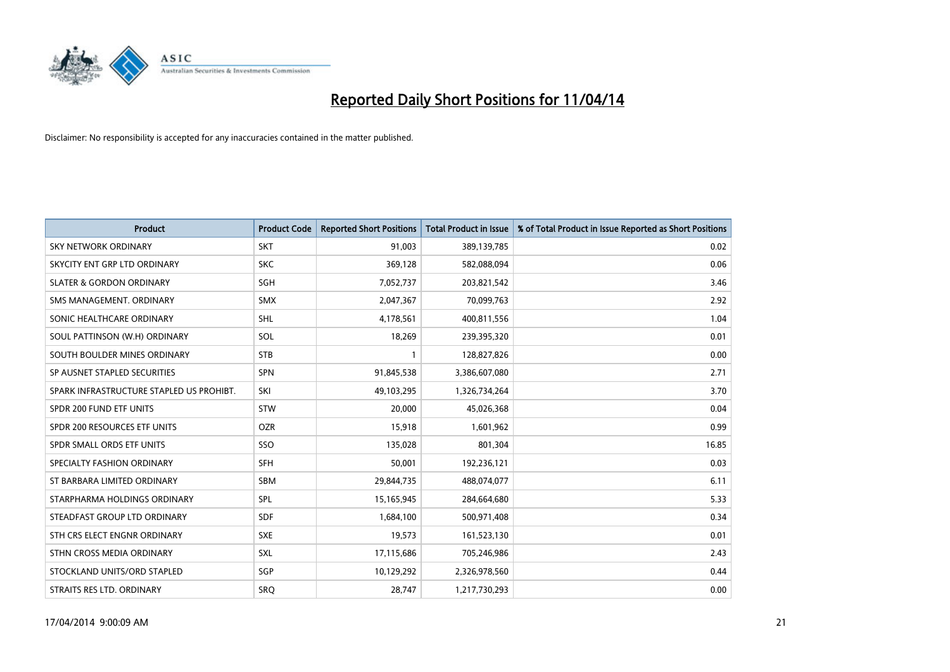

| <b>Product</b>                           | <b>Product Code</b> | <b>Reported Short Positions</b> | <b>Total Product in Issue</b> | % of Total Product in Issue Reported as Short Positions |
|------------------------------------------|---------------------|---------------------------------|-------------------------------|---------------------------------------------------------|
| <b>SKY NETWORK ORDINARY</b>              | <b>SKT</b>          | 91,003                          | 389,139,785                   | 0.02                                                    |
| SKYCITY ENT GRP LTD ORDINARY             | <b>SKC</b>          | 369,128                         | 582,088,094                   | 0.06                                                    |
| <b>SLATER &amp; GORDON ORDINARY</b>      | SGH                 | 7,052,737                       | 203,821,542                   | 3.46                                                    |
| SMS MANAGEMENT. ORDINARY                 | <b>SMX</b>          | 2,047,367                       | 70,099,763                    | 2.92                                                    |
| SONIC HEALTHCARE ORDINARY                | SHL                 | 4,178,561                       | 400,811,556                   | 1.04                                                    |
| SOUL PATTINSON (W.H) ORDINARY            | SOL                 | 18,269                          | 239,395,320                   | 0.01                                                    |
| SOUTH BOULDER MINES ORDINARY             | <b>STB</b>          |                                 | 128,827,826                   | 0.00                                                    |
| SP AUSNET STAPLED SECURITIES             | <b>SPN</b>          | 91,845,538                      | 3,386,607,080                 | 2.71                                                    |
| SPARK INFRASTRUCTURE STAPLED US PROHIBT. | SKI                 | 49,103,295                      | 1,326,734,264                 | 3.70                                                    |
| SPDR 200 FUND ETF UNITS                  | <b>STW</b>          | 20,000                          | 45,026,368                    | 0.04                                                    |
| SPDR 200 RESOURCES ETF UNITS             | <b>OZR</b>          | 15,918                          | 1,601,962                     | 0.99                                                    |
| SPDR SMALL ORDS ETF UNITS                | SSO                 | 135,028                         | 801,304                       | 16.85                                                   |
| SPECIALTY FASHION ORDINARY               | <b>SFH</b>          | 50,001                          | 192,236,121                   | 0.03                                                    |
| ST BARBARA LIMITED ORDINARY              | SBM                 | 29,844,735                      | 488,074,077                   | 6.11                                                    |
| STARPHARMA HOLDINGS ORDINARY             | SPL                 | 15,165,945                      | 284,664,680                   | 5.33                                                    |
| STEADFAST GROUP LTD ORDINARY             | SDF                 | 1,684,100                       | 500,971,408                   | 0.34                                                    |
| STH CRS ELECT ENGNR ORDINARY             | <b>SXE</b>          | 19,573                          | 161,523,130                   | 0.01                                                    |
| STHN CROSS MEDIA ORDINARY                | <b>SXL</b>          | 17,115,686                      | 705,246,986                   | 2.43                                                    |
| STOCKLAND UNITS/ORD STAPLED              | SGP                 | 10,129,292                      | 2,326,978,560                 | 0.44                                                    |
| STRAITS RES LTD. ORDINARY                | <b>SRO</b>          | 28,747                          | 1,217,730,293                 | 0.00                                                    |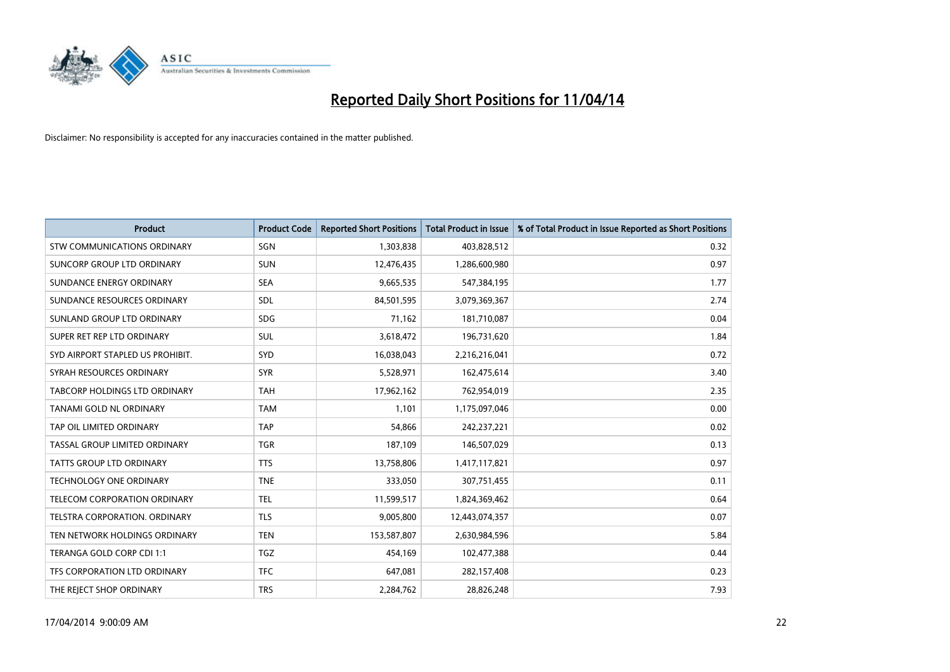

| <b>Product</b>                     | <b>Product Code</b> | <b>Reported Short Positions</b> | <b>Total Product in Issue</b> | % of Total Product in Issue Reported as Short Positions |
|------------------------------------|---------------------|---------------------------------|-------------------------------|---------------------------------------------------------|
| <b>STW COMMUNICATIONS ORDINARY</b> | SGN                 | 1,303,838                       | 403,828,512                   | 0.32                                                    |
| SUNCORP GROUP LTD ORDINARY         | <b>SUN</b>          | 12,476,435                      | 1,286,600,980                 | 0.97                                                    |
| SUNDANCE ENERGY ORDINARY           | <b>SEA</b>          | 9,665,535                       | 547,384,195                   | 1.77                                                    |
| SUNDANCE RESOURCES ORDINARY        | SDL                 | 84,501,595                      | 3,079,369,367                 | 2.74                                                    |
| SUNLAND GROUP LTD ORDINARY         | <b>SDG</b>          | 71,162                          | 181,710,087                   | 0.04                                                    |
| SUPER RET REP LTD ORDINARY         | SUL                 | 3,618,472                       | 196,731,620                   | 1.84                                                    |
| SYD AIRPORT STAPLED US PROHIBIT.   | <b>SYD</b>          | 16,038,043                      | 2,216,216,041                 | 0.72                                                    |
| SYRAH RESOURCES ORDINARY           | <b>SYR</b>          | 5,528,971                       | 162,475,614                   | 3.40                                                    |
| TABCORP HOLDINGS LTD ORDINARY      | <b>TAH</b>          | 17,962,162                      | 762,954,019                   | 2.35                                                    |
| <b>TANAMI GOLD NL ORDINARY</b>     | <b>TAM</b>          | 1,101                           | 1,175,097,046                 | 0.00                                                    |
| TAP OIL LIMITED ORDINARY           | <b>TAP</b>          | 54,866                          | 242,237,221                   | 0.02                                                    |
| TASSAL GROUP LIMITED ORDINARY      | <b>TGR</b>          | 187,109                         | 146,507,029                   | 0.13                                                    |
| <b>TATTS GROUP LTD ORDINARY</b>    | <b>TTS</b>          | 13,758,806                      | 1,417,117,821                 | 0.97                                                    |
| <b>TECHNOLOGY ONE ORDINARY</b>     | <b>TNE</b>          | 333,050                         | 307,751,455                   | 0.11                                                    |
| TELECOM CORPORATION ORDINARY       | <b>TEL</b>          | 11,599,517                      | 1,824,369,462                 | 0.64                                                    |
| TELSTRA CORPORATION. ORDINARY      | <b>TLS</b>          | 9,005,800                       | 12,443,074,357                | 0.07                                                    |
| TEN NETWORK HOLDINGS ORDINARY      | <b>TEN</b>          | 153,587,807                     | 2,630,984,596                 | 5.84                                                    |
| TERANGA GOLD CORP CDI 1:1          | <b>TGZ</b>          | 454,169                         | 102,477,388                   | 0.44                                                    |
| TFS CORPORATION LTD ORDINARY       | <b>TFC</b>          | 647,081                         | 282,157,408                   | 0.23                                                    |
| THE REJECT SHOP ORDINARY           | <b>TRS</b>          | 2,284,762                       | 28,826,248                    | 7.93                                                    |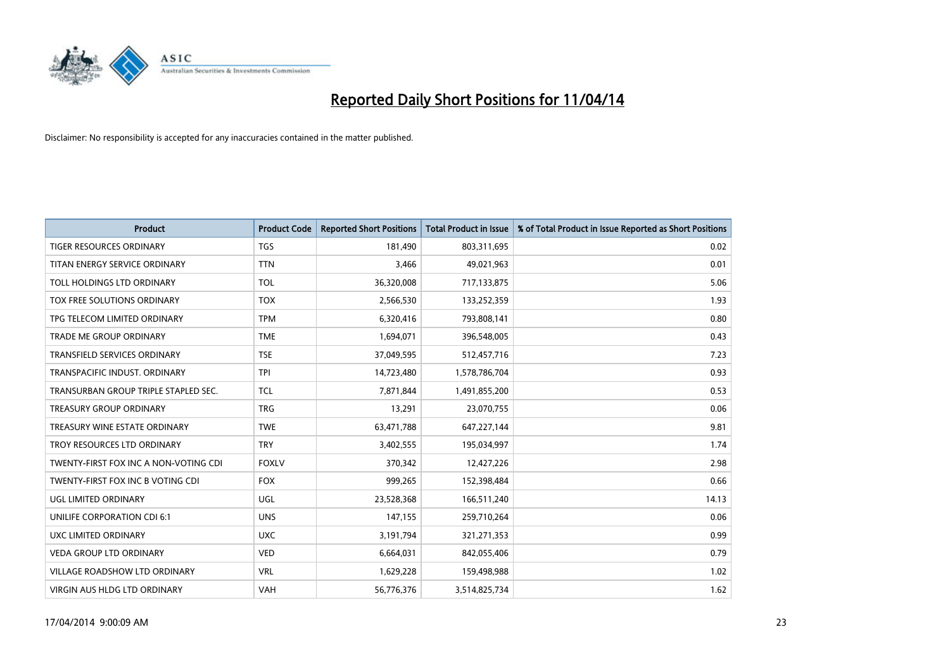

| <b>Product</b>                        | <b>Product Code</b> | <b>Reported Short Positions</b> | <b>Total Product in Issue</b> | % of Total Product in Issue Reported as Short Positions |
|---------------------------------------|---------------------|---------------------------------|-------------------------------|---------------------------------------------------------|
| <b>TIGER RESOURCES ORDINARY</b>       | <b>TGS</b>          | 181,490                         | 803,311,695                   | 0.02                                                    |
| TITAN ENERGY SERVICE ORDINARY         | <b>TTN</b>          | 3,466                           | 49,021,963                    | 0.01                                                    |
| TOLL HOLDINGS LTD ORDINARY            | <b>TOL</b>          | 36,320,008                      | 717,133,875                   | 5.06                                                    |
| TOX FREE SOLUTIONS ORDINARY           | <b>TOX</b>          | 2,566,530                       | 133,252,359                   | 1.93                                                    |
| TPG TELECOM LIMITED ORDINARY          | <b>TPM</b>          | 6,320,416                       | 793,808,141                   | 0.80                                                    |
| <b>TRADE ME GROUP ORDINARY</b>        | <b>TME</b>          | 1,694,071                       | 396,548,005                   | 0.43                                                    |
| TRANSFIELD SERVICES ORDINARY          | <b>TSE</b>          | 37,049,595                      | 512,457,716                   | 7.23                                                    |
| TRANSPACIFIC INDUST. ORDINARY         | <b>TPI</b>          | 14,723,480                      | 1,578,786,704                 | 0.93                                                    |
| TRANSURBAN GROUP TRIPLE STAPLED SEC.  | <b>TCL</b>          | 7,871,844                       | 1,491,855,200                 | 0.53                                                    |
| <b>TREASURY GROUP ORDINARY</b>        | <b>TRG</b>          | 13,291                          | 23,070,755                    | 0.06                                                    |
| TREASURY WINE ESTATE ORDINARY         | <b>TWE</b>          | 63,471,788                      | 647,227,144                   | 9.81                                                    |
| TROY RESOURCES LTD ORDINARY           | <b>TRY</b>          | 3,402,555                       | 195,034,997                   | 1.74                                                    |
| TWENTY-FIRST FOX INC A NON-VOTING CDI | <b>FOXLV</b>        | 370,342                         | 12,427,226                    | 2.98                                                    |
| TWENTY-FIRST FOX INC B VOTING CDI     | <b>FOX</b>          | 999,265                         | 152,398,484                   | 0.66                                                    |
| UGL LIMITED ORDINARY                  | UGL                 | 23,528,368                      | 166,511,240                   | 14.13                                                   |
| UNILIFE CORPORATION CDI 6:1           | <b>UNS</b>          | 147,155                         | 259,710,264                   | 0.06                                                    |
| UXC LIMITED ORDINARY                  | <b>UXC</b>          | 3,191,794                       | 321,271,353                   | 0.99                                                    |
| VEDA GROUP LTD ORDINARY               | <b>VED</b>          | 6,664,031                       | 842,055,406                   | 0.79                                                    |
| <b>VILLAGE ROADSHOW LTD ORDINARY</b>  | <b>VRL</b>          | 1,629,228                       | 159,498,988                   | 1.02                                                    |
| VIRGIN AUS HLDG LTD ORDINARY          | VAH                 | 56,776,376                      | 3,514,825,734                 | 1.62                                                    |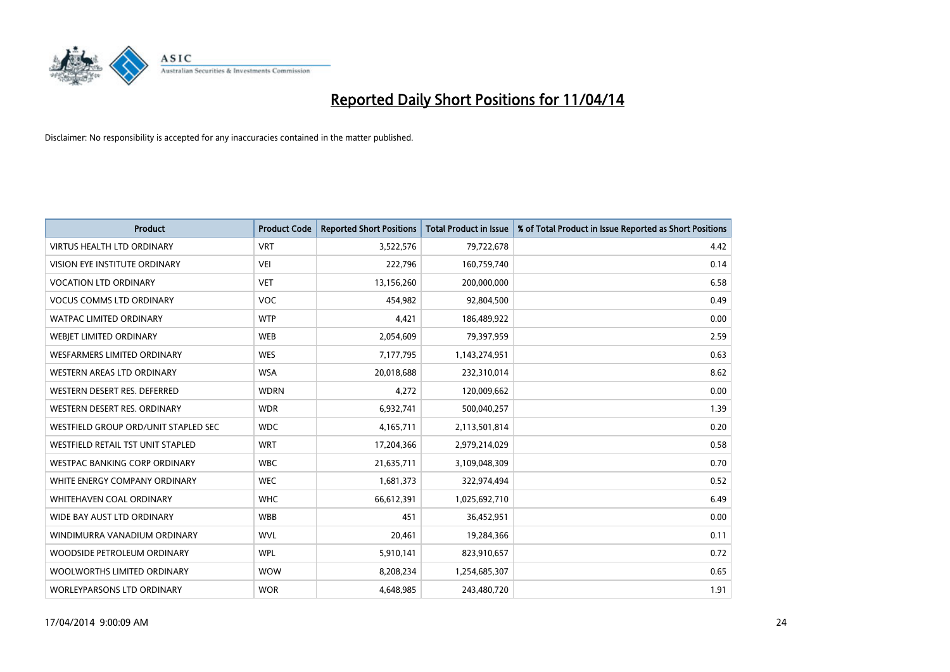

| <b>Product</b>                       | <b>Product Code</b> | <b>Reported Short Positions</b> | <b>Total Product in Issue</b> | % of Total Product in Issue Reported as Short Positions |
|--------------------------------------|---------------------|---------------------------------|-------------------------------|---------------------------------------------------------|
| <b>VIRTUS HEALTH LTD ORDINARY</b>    | <b>VRT</b>          | 3,522,576                       | 79,722,678                    | 4.42                                                    |
| VISION EYE INSTITUTE ORDINARY        | <b>VEI</b>          | 222,796                         | 160,759,740                   | 0.14                                                    |
| <b>VOCATION LTD ORDINARY</b>         | <b>VET</b>          | 13,156,260                      | 200,000,000                   | 6.58                                                    |
| <b>VOCUS COMMS LTD ORDINARY</b>      | <b>VOC</b>          | 454,982                         | 92,804,500                    | 0.49                                                    |
| <b>WATPAC LIMITED ORDINARY</b>       | <b>WTP</b>          | 4,421                           | 186,489,922                   | 0.00                                                    |
| WEBJET LIMITED ORDINARY              | <b>WEB</b>          | 2,054,609                       | 79,397,959                    | 2.59                                                    |
| <b>WESFARMERS LIMITED ORDINARY</b>   | <b>WES</b>          | 7,177,795                       | 1,143,274,951                 | 0.63                                                    |
| WESTERN AREAS LTD ORDINARY           | <b>WSA</b>          | 20,018,688                      | 232,310,014                   | 8.62                                                    |
| WESTERN DESERT RES. DEFERRED         | <b>WDRN</b>         | 4,272                           | 120,009,662                   | 0.00                                                    |
| WESTERN DESERT RES. ORDINARY         | <b>WDR</b>          | 6,932,741                       | 500,040,257                   | 1.39                                                    |
| WESTFIELD GROUP ORD/UNIT STAPLED SEC | <b>WDC</b>          | 4,165,711                       | 2,113,501,814                 | 0.20                                                    |
| WESTFIELD RETAIL TST UNIT STAPLED    | <b>WRT</b>          | 17,204,366                      | 2,979,214,029                 | 0.58                                                    |
| <b>WESTPAC BANKING CORP ORDINARY</b> | <b>WBC</b>          | 21,635,711                      | 3,109,048,309                 | 0.70                                                    |
| WHITE ENERGY COMPANY ORDINARY        | <b>WEC</b>          | 1,681,373                       | 322,974,494                   | 0.52                                                    |
| WHITEHAVEN COAL ORDINARY             | <b>WHC</b>          | 66,612,391                      | 1,025,692,710                 | 6.49                                                    |
| WIDE BAY AUST LTD ORDINARY           | <b>WBB</b>          | 451                             | 36,452,951                    | 0.00                                                    |
| WINDIMURRA VANADIUM ORDINARY         | <b>WVL</b>          | 20,461                          | 19,284,366                    | 0.11                                                    |
| WOODSIDE PETROLEUM ORDINARY          | <b>WPL</b>          | 5,910,141                       | 823,910,657                   | 0.72                                                    |
| WOOLWORTHS LIMITED ORDINARY          | <b>WOW</b>          | 8,208,234                       | 1,254,685,307                 | 0.65                                                    |
| <b>WORLEYPARSONS LTD ORDINARY</b>    | <b>WOR</b>          | 4,648,985                       | 243,480,720                   | 1.91                                                    |